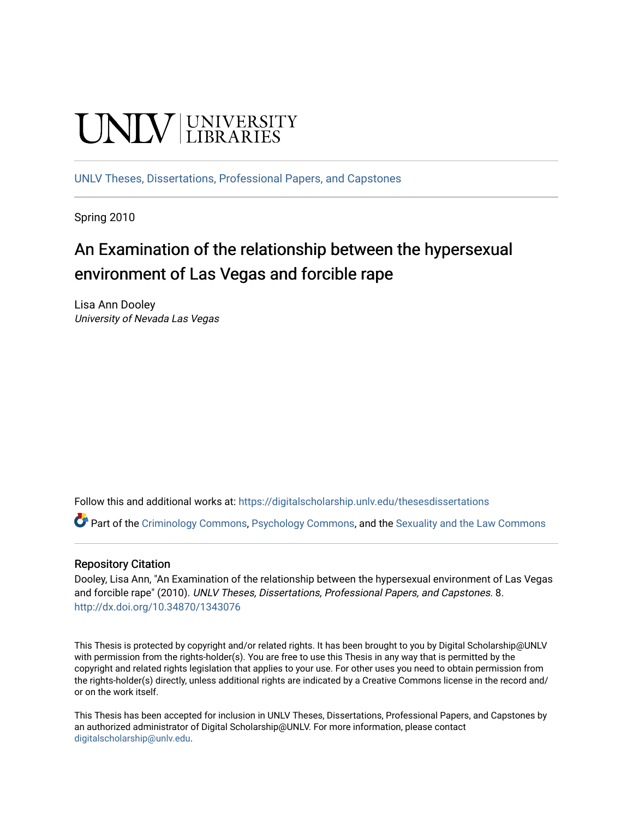# **UNIVERSITY**

[UNLV Theses, Dissertations, Professional Papers, and Capstones](https://digitalscholarship.unlv.edu/thesesdissertations)

Spring 2010

## An Examination of the relationship between the hypersexual environment of Las Vegas and forcible rape

Lisa Ann Dooley University of Nevada Las Vegas

Follow this and additional works at: [https://digitalscholarship.unlv.edu/thesesdissertations](https://digitalscholarship.unlv.edu/thesesdissertations?utm_source=digitalscholarship.unlv.edu%2Fthesesdissertations%2F8&utm_medium=PDF&utm_campaign=PDFCoverPages)

Part of the [Criminology Commons](http://network.bepress.com/hgg/discipline/417?utm_source=digitalscholarship.unlv.edu%2Fthesesdissertations%2F8&utm_medium=PDF&utm_campaign=PDFCoverPages), [Psychology Commons](http://network.bepress.com/hgg/discipline/404?utm_source=digitalscholarship.unlv.edu%2Fthesesdissertations%2F8&utm_medium=PDF&utm_campaign=PDFCoverPages), and the [Sexuality and the Law Commons](http://network.bepress.com/hgg/discipline/877?utm_source=digitalscholarship.unlv.edu%2Fthesesdissertations%2F8&utm_medium=PDF&utm_campaign=PDFCoverPages)

#### Repository Citation

Dooley, Lisa Ann, "An Examination of the relationship between the hypersexual environment of Las Vegas and forcible rape" (2010). UNLV Theses, Dissertations, Professional Papers, and Capstones. 8. <http://dx.doi.org/10.34870/1343076>

This Thesis is protected by copyright and/or related rights. It has been brought to you by Digital Scholarship@UNLV with permission from the rights-holder(s). You are free to use this Thesis in any way that is permitted by the copyright and related rights legislation that applies to your use. For other uses you need to obtain permission from the rights-holder(s) directly, unless additional rights are indicated by a Creative Commons license in the record and/ or on the work itself.

This Thesis has been accepted for inclusion in UNLV Theses, Dissertations, Professional Papers, and Capstones by an authorized administrator of Digital Scholarship@UNLV. For more information, please contact [digitalscholarship@unlv.edu](mailto:digitalscholarship@unlv.edu).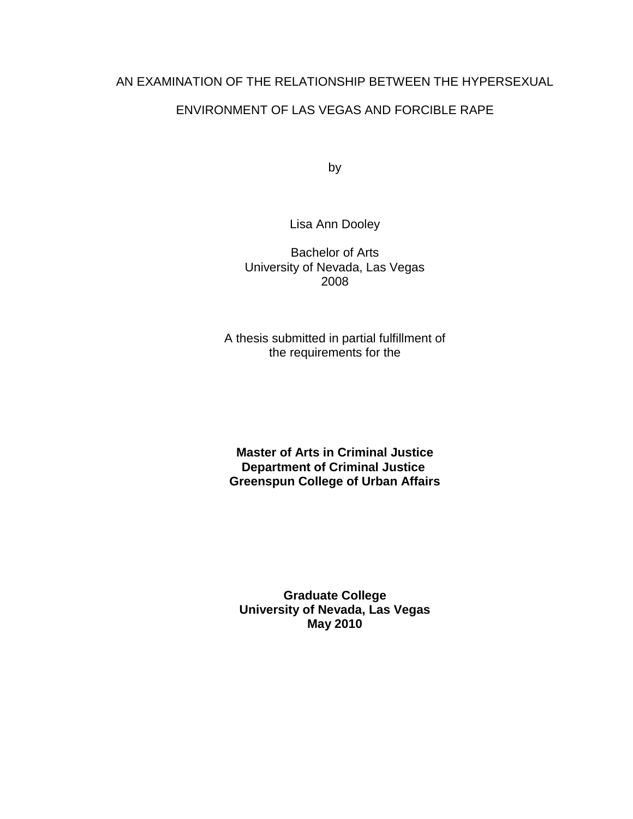## AN EXAMINATION OF THE RELATIONSHIP BETWEEN THE HYPERSEXUAL

## ENVIRONMENT OF LAS VEGAS AND FORCIBLE RAPE

by

Lisa Ann Dooley

Bachelor of Arts University of Nevada, Las Vegas 2008

A thesis submitted in partial fulfillment of the requirements for the

**Master of Arts in Criminal Justice Department of Criminal Justice Greenspun College of Urban Affairs**

**Graduate College University of Nevada, Las Vegas May 2010**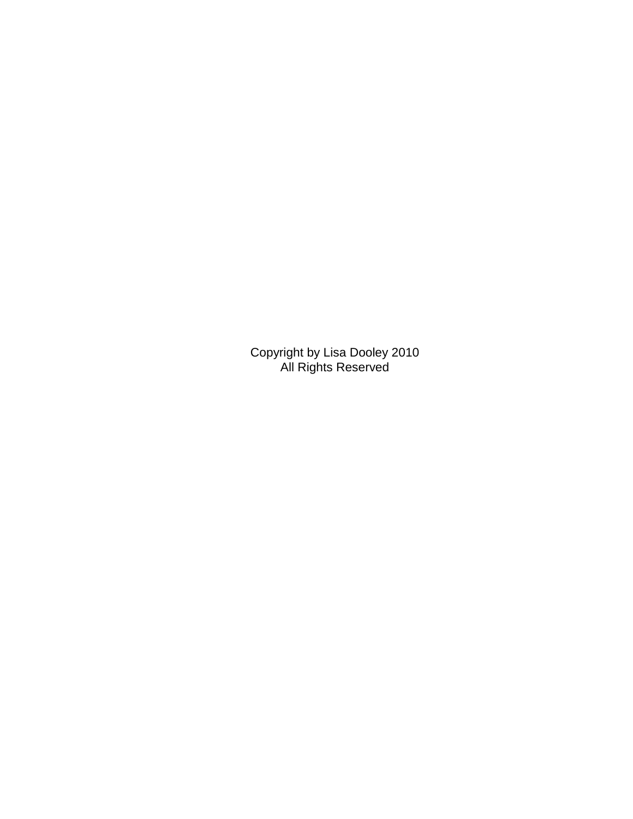Copyright by Lisa Dooley 2010 All Rights Reserved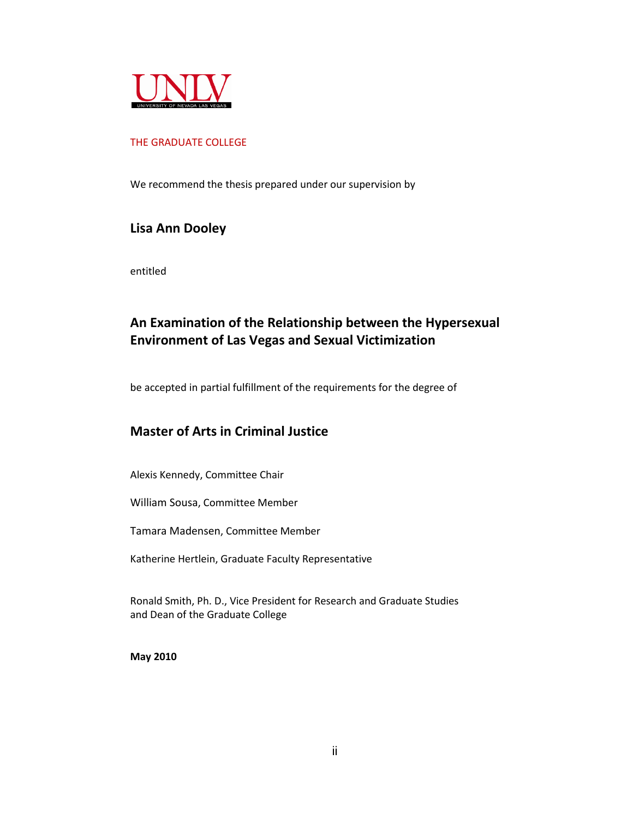

#### THE GRADUATE COLLEGE

We recommend the thesis prepared under our supervision by

### **Lisa Ann Dooley**

entitled

## **An Examination of the Relationship between the Hypersexual Environment of Las Vegas and Sexual Victimization**

be accepted in partial fulfillment of the requirements for the degree of

## **Master of Arts in Criminal Justice**

Alexis Kennedy, Committee Chair

William Sousa, Committee Member

Tamara Madensen, Committee Member

Katherine Hertlein, Graduate Faculty Representative

Ronald Smith, Ph. D., Vice President for Research and Graduate Studies and Dean of the Graduate College

**May 2010**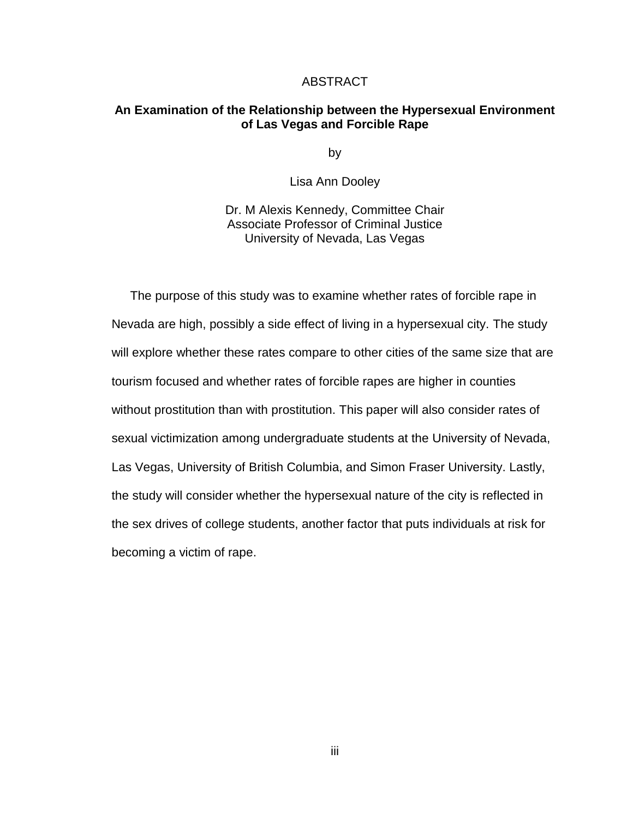#### ABSTRACT

#### **An Examination of the Relationship between the Hypersexual Environment of Las Vegas and Forcible Rape**

by

Lisa Ann Dooley

Dr. M Alexis Kennedy, Committee Chair Associate Professor of Criminal Justice University of Nevada, Las Vegas

The purpose of this study was to examine whether rates of forcible rape in Nevada are high, possibly a side effect of living in a hypersexual city. The study will explore whether these rates compare to other cities of the same size that are tourism focused and whether rates of forcible rapes are higher in counties without prostitution than with prostitution. This paper will also consider rates of sexual victimization among undergraduate students at the University of Nevada, Las Vegas, University of British Columbia, and Simon Fraser University. Lastly, the study will consider whether the hypersexual nature of the city is reflected in the sex drives of college students, another factor that puts individuals at risk for becoming a victim of rape.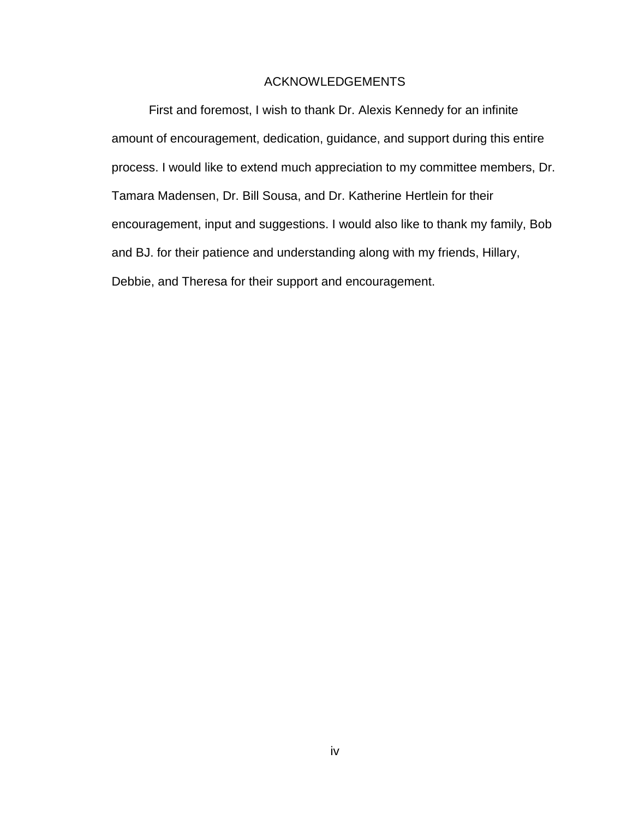#### ACKNOWLEDGEMENTS

First and foremost, I wish to thank Dr. Alexis Kennedy for an infinite amount of encouragement, dedication, guidance, and support during this entire process. I would like to extend much appreciation to my committee members, Dr. Tamara Madensen, Dr. Bill Sousa, and Dr. Katherine Hertlein for their encouragement, input and suggestions. I would also like to thank my family, Bob and BJ. for their patience and understanding along with my friends, Hillary, Debbie, and Theresa for their support and encouragement.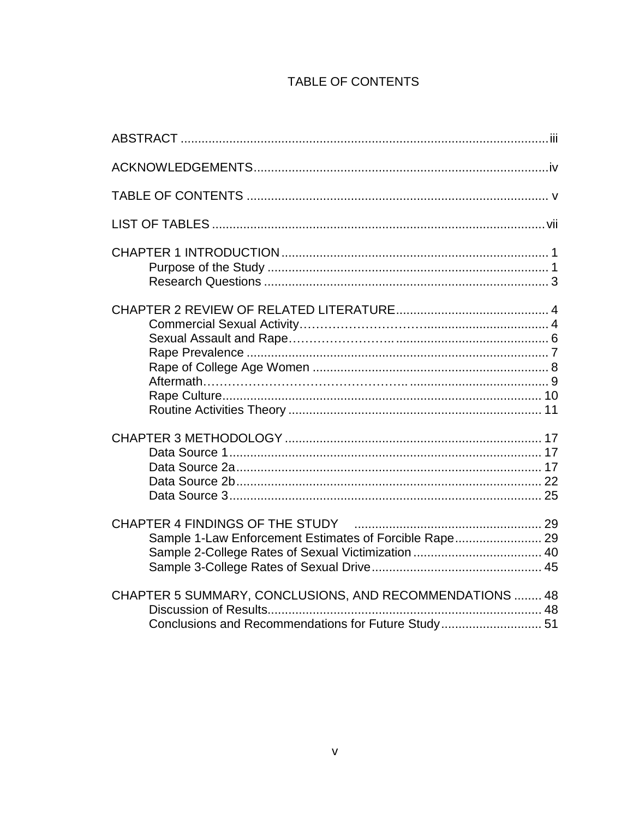## TABLE OF CONTENTS

| Sample 1-Law Enforcement Estimates of Forcible Rape 29                                                         |
|----------------------------------------------------------------------------------------------------------------|
| CHAPTER 5 SUMMARY, CONCLUSIONS, AND RECOMMENDATIONS  48<br>Conclusions and Recommendations for Future Study 51 |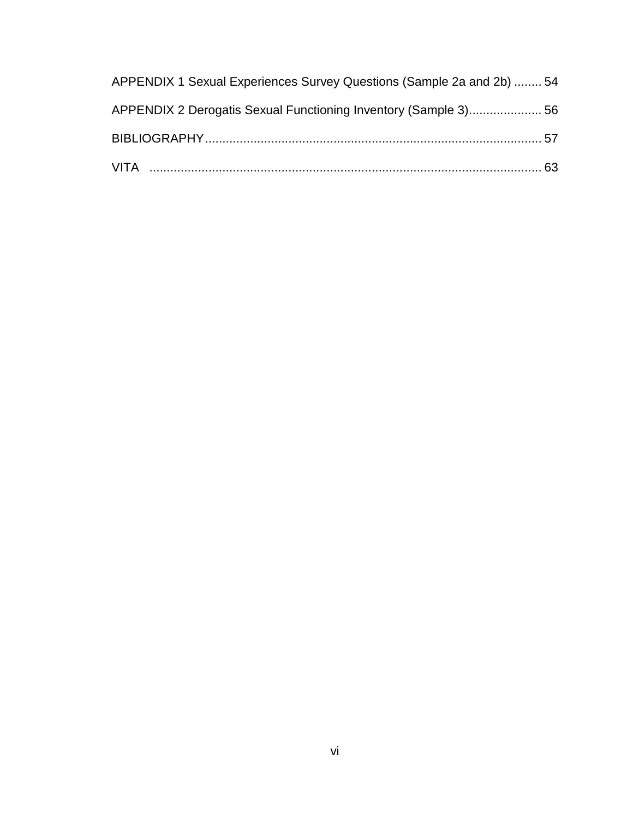| APPENDIX 1 Sexual Experiences Survey Questions (Sample 2a and 2b)  54 |  |
|-----------------------------------------------------------------------|--|
| APPENDIX 2 Derogatis Sexual Functioning Inventory (Sample 3) 56       |  |
|                                                                       |  |
|                                                                       |  |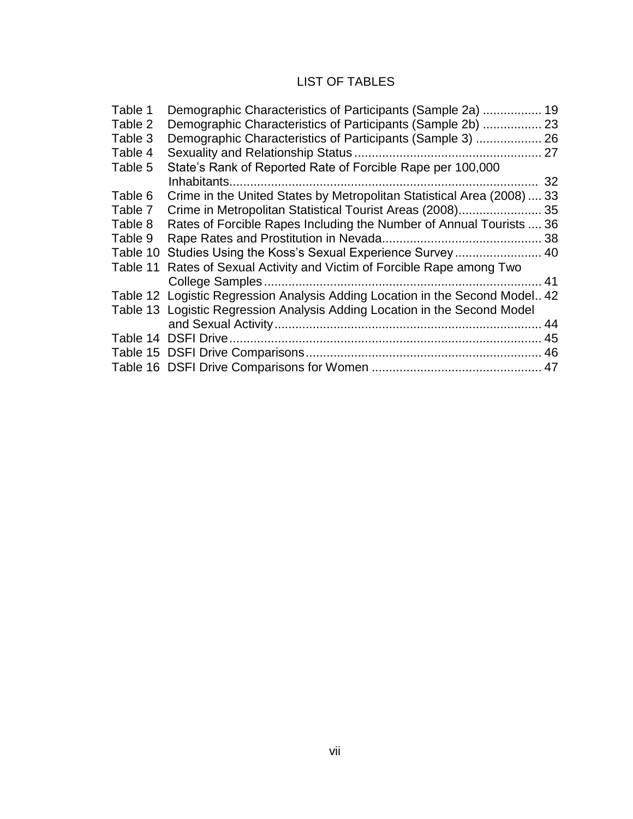## LIST OF TABLES

| Table 1  | Demographic Characteristics of Participants (Sample 2a)                      | 19 |
|----------|------------------------------------------------------------------------------|----|
| Table 2  | Demographic Characteristics of Participants (Sample 2b)  23                  |    |
| Table 3  |                                                                              |    |
| Table 4  |                                                                              |    |
| Table 5  | State's Rank of Reported Rate of Forcible Rape per 100,000                   |    |
|          |                                                                              | 32 |
| Table 6  | Crime in the United States by Metropolitan Statistical Area (2008)  33       |    |
| Table 7  | Crime in Metropolitan Statistical Tourist Areas (2008)                       | 35 |
| Table 8  | Rates of Forcible Rapes Including the Number of Annual Tourists  36          |    |
| Table 9  |                                                                              |    |
| Table 10 |                                                                              |    |
| Table 11 | Rates of Sexual Activity and Victim of Forcible Rape among Two               |    |
|          |                                                                              | 41 |
|          | Table 12 Logistic Regression Analysis Adding Location in the Second Model 42 |    |
|          | Table 13 Logistic Regression Analysis Adding Location in the Second Model    |    |
|          |                                                                              |    |
|          |                                                                              |    |
|          |                                                                              |    |
|          |                                                                              |    |
|          |                                                                              |    |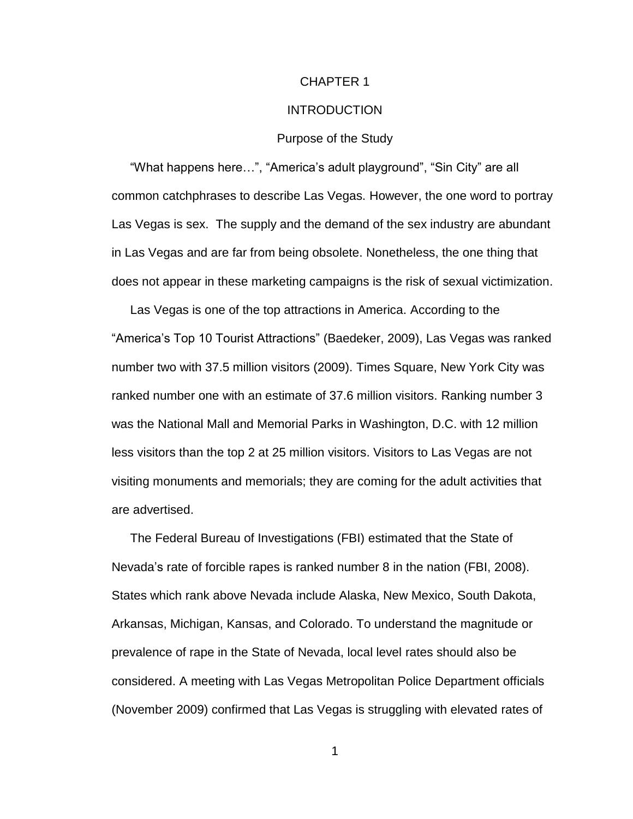#### CHAPTER 1

#### **INTRODUCTION**

#### Purpose of the Study

"What happens here…", "America"s adult playground", "Sin City" are all common catchphrases to describe Las Vegas. However, the one word to portray Las Vegas is sex. The supply and the demand of the sex industry are abundant in Las Vegas and are far from being obsolete. Nonetheless, the one thing that does not appear in these marketing campaigns is the risk of sexual victimization.

Las Vegas is one of the top attractions in America. According to the "America"s Top 10 Tourist Attractions" [\(Baedeker,](http://travel.yahoo.com/p-interests-25465855) 2009), Las Vegas was ranked number two with 37.5 million visitors (2009). Times Square, New York City was ranked number one with an estimate of 37.6 million visitors. Ranking number 3 was the National Mall and Memorial Parks in Washington, D.C. with 12 million less visitors than the top 2 at 25 million visitors. Visitors to Las Vegas are not visiting monuments and memorials; they are coming for the adult activities that are advertised.

The Federal Bureau of Investigations (FBI) estimated that the State of Nevada"s rate of forcible rapes is ranked number 8 in the nation (FBI, 2008). States which rank above Nevada include Alaska, New Mexico, South Dakota, Arkansas, Michigan, Kansas, and Colorado. To understand the magnitude or prevalence of rape in the State of Nevada, local level rates should also be considered. A meeting with Las Vegas Metropolitan Police Department officials (November 2009) confirmed that Las Vegas is struggling with elevated rates of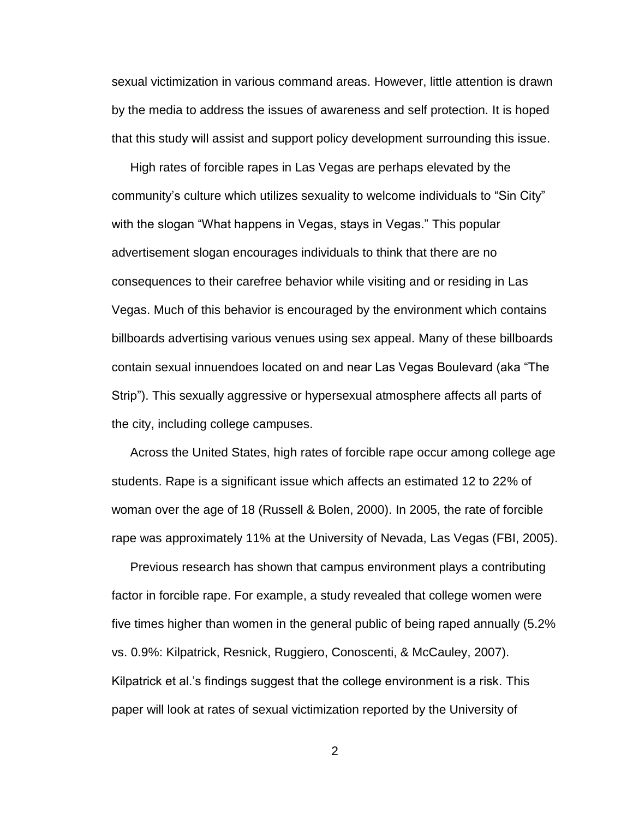sexual victimization in various command areas. However, little attention is drawn by the media to address the issues of awareness and self protection. It is hoped that this study will assist and support policy development surrounding this issue.

High rates of forcible rapes in Las Vegas are perhaps elevated by the community"s culture which utilizes sexuality to welcome individuals to "Sin City" with the slogan "What happens in Vegas, stays in Vegas." This popular advertisement slogan encourages individuals to think that there are no consequences to their carefree behavior while visiting and or residing in Las Vegas. Much of this behavior is encouraged by the environment which contains billboards advertising various venues using sex appeal. Many of these billboards contain sexual innuendoes located on and near Las Vegas Boulevard (aka "The Strip"). This sexually aggressive or hypersexual atmosphere affects all parts of the city, including college campuses.

Across the United States, high rates of forcible rape occur among college age students. Rape is a significant issue which affects an estimated 12 to 22% of woman over the age of 18 (Russell & Bolen, 2000). In 2005, the rate of forcible rape was approximately 11% at the University of Nevada, Las Vegas (FBI, 2005).

Previous research has shown that campus environment plays a contributing factor in forcible rape. For example, a study revealed that college women were five times higher than women in the general public of being raped annually (5.2% vs. 0.9%: Kilpatrick, Resnick, Ruggiero, Conoscenti, & McCauley, 2007). Kilpatrick et al."s findings suggest that the college environment is a risk. This paper will look at rates of sexual victimization reported by the University of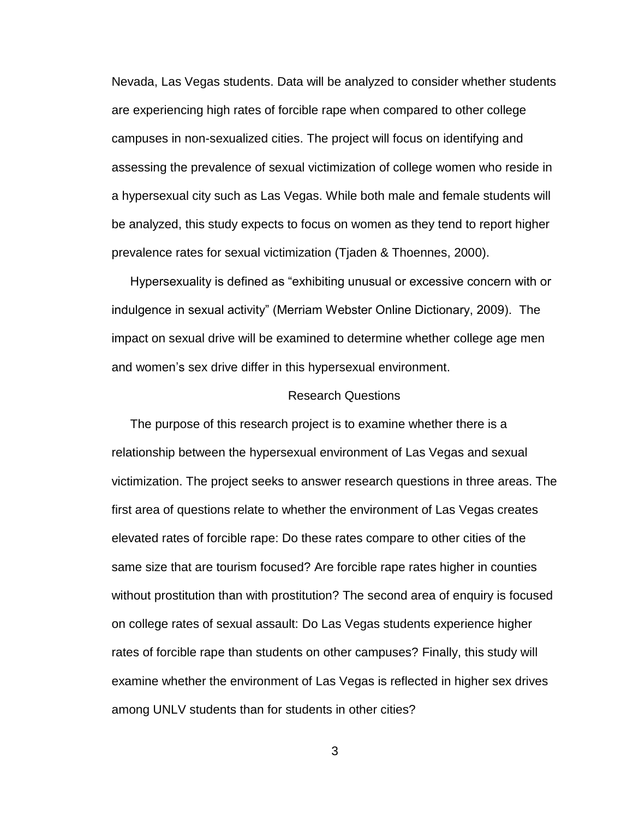Nevada, Las Vegas students. Data will be analyzed to consider whether students are experiencing high rates of forcible rape when compared to other college campuses in non-sexualized cities. The project will focus on identifying and assessing the prevalence of sexual victimization of college women who reside in a hypersexual city such as Las Vegas. While both male and female students will be analyzed, this study expects to focus on women as they tend to report higher prevalence rates for sexual victimization (Tjaden & Thoennes, 2000).

Hypersexuality is defined as "exhibiting unusual or excessive concern with or indulgence in sexual activity" (Merriam Webster Online Dictionary, 2009). The impact on sexual drive will be examined to determine whether college age men and women's sex drive differ in this hypersexual environment.

#### Research Questions

The purpose of this research project is to examine whether there is a relationship between the hypersexual environment of Las Vegas and sexual victimization. The project seeks to answer research questions in three areas. The first area of questions relate to whether the environment of Las Vegas creates elevated rates of forcible rape: Do these rates compare to other cities of the same size that are tourism focused? Are forcible rape rates higher in counties without prostitution than with prostitution? The second area of enquiry is focused on college rates of sexual assault: Do Las Vegas students experience higher rates of forcible rape than students on other campuses? Finally, this study will examine whether the environment of Las Vegas is reflected in higher sex drives among UNLV students than for students in other cities?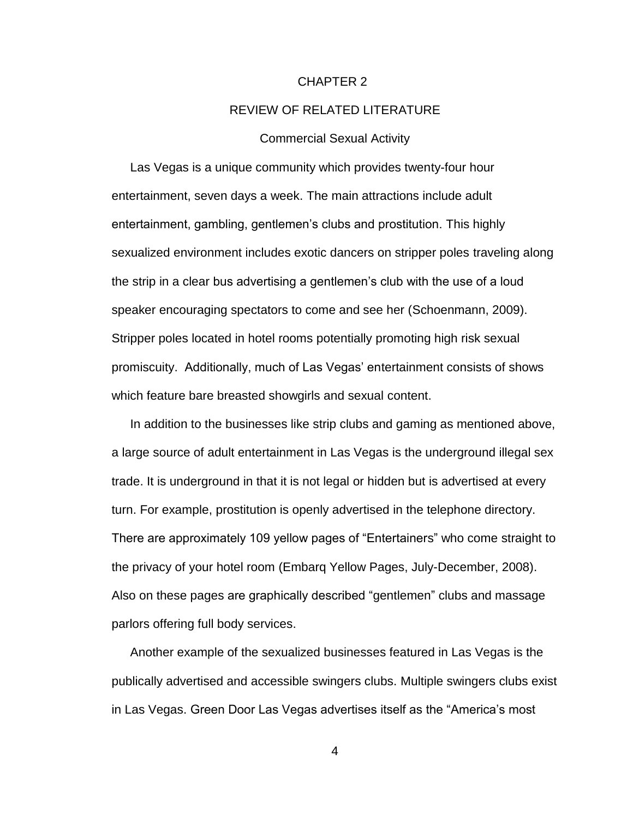#### CHAPTER 2

#### REVIEW OF RELATED LITERATURE

#### Commercial Sexual Activity

Las Vegas is a unique community which provides twenty-four hour entertainment, seven days a week. The main attractions include adult entertainment, gambling, gentlemen"s clubs and prostitution. This highly sexualized environment includes exotic dancers on stripper poles traveling along the strip in a clear bus advertising a gentlemen"s club with the use of a loud speaker encouraging spectators to come and see her (Schoenmann, 2009). Stripper poles located in hotel rooms potentially promoting high risk sexual promiscuity. Additionally, much of Las Vegas" entertainment consists of shows which feature bare breasted showgirls and sexual content.

In addition to the businesses like strip clubs and gaming as mentioned above, a large source of adult entertainment in Las Vegas is the underground illegal sex trade. It is underground in that it is not legal or hidden but is advertised at every turn. For example, prostitution is openly advertised in the telephone directory. There are approximately 109 yellow pages of "Entertainers" who come straight to the privacy of your hotel room (Embarq Yellow Pages, July-December, 2008). Also on these pages are graphically described "gentlemen" clubs and massage parlors offering full body services.

Another example of the sexualized businesses featured in Las Vegas is the publically advertised and accessible swingers clubs. Multiple swingers clubs exist in Las Vegas. Green Door Las Vegas advertises itself as the "America"s most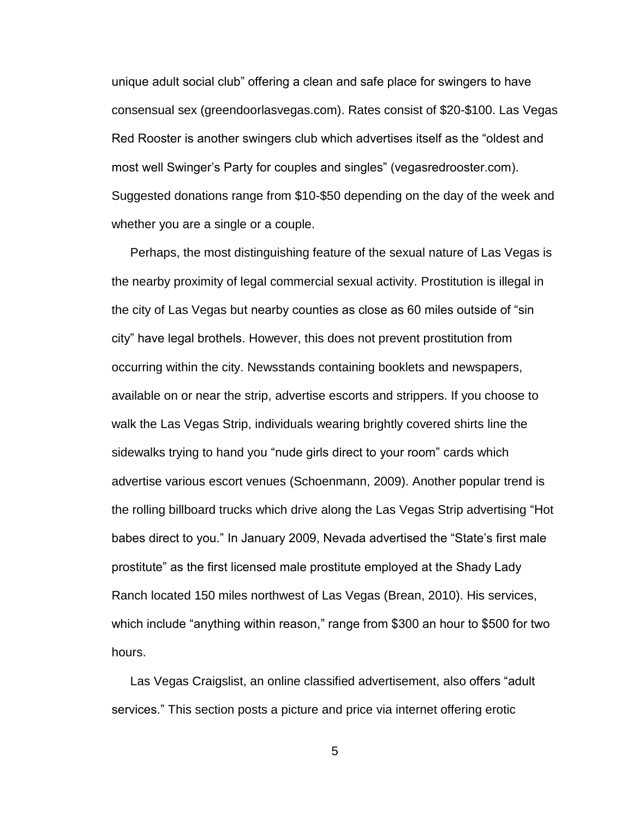unique adult social club" offering a clean and safe place for swingers to have consensual sex (greendoorlasvegas.com). Rates consist of \$20-\$100. Las Vegas Red Rooster is another swingers club which advertises itself as the "oldest and most well Swinger"s Party for couples and singles" (vegasredrooster.com). Suggested donations range from \$10-\$50 depending on the day of the week and whether you are a single or a couple.

Perhaps, the most distinguishing feature of the sexual nature of Las Vegas is the nearby proximity of legal commercial sexual activity. Prostitution is illegal in the city of Las Vegas but nearby counties as close as 60 miles outside of "sin city" have legal brothels. However, this does not prevent prostitution from occurring within the city. Newsstands containing booklets and newspapers, available on or near the strip, advertise escorts and strippers. If you choose to walk the Las Vegas Strip, individuals wearing brightly covered shirts line the sidewalks trying to hand you "nude girls direct to your room" cards which advertise various escort venues (Schoenmann, 2009). Another popular trend is the rolling billboard trucks which drive along the Las Vegas Strip advertising "Hot babes direct to you." In January 2009, Nevada advertised the "State's first male prostitute" as the first licensed male prostitute employed at the Shady Lady Ranch located 150 miles northwest of Las Vegas (Brean, 2010). His services, which include "anything within reason," range from \$300 an hour to \$500 for two hours.

Las Vegas Craigslist, an online classified advertisement, also offers "adult services." This section posts a picture and price via internet offering erotic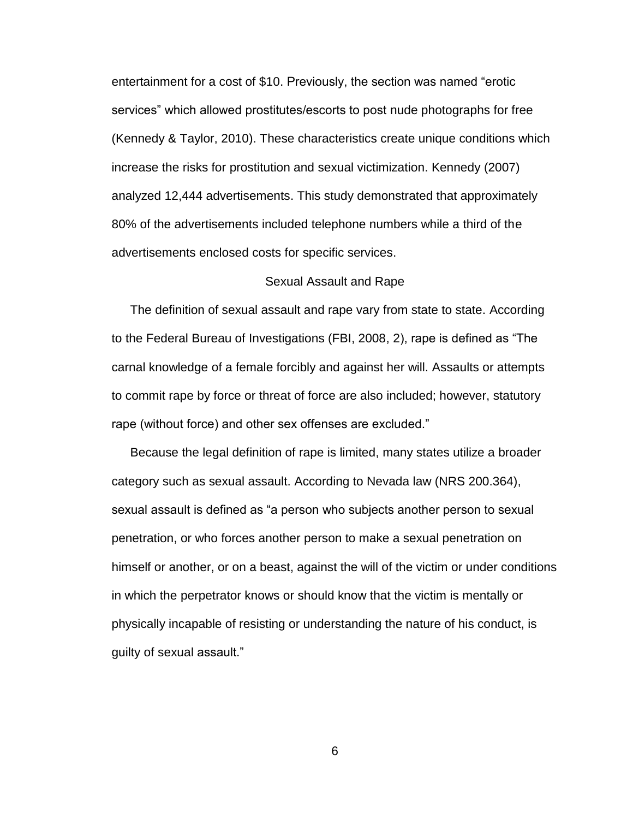entertainment for a cost of \$10. Previously, the section was named "erotic services" which allowed prostitutes/escorts to post nude photographs for free (Kennedy & Taylor, 2010). These characteristics create unique conditions which increase the risks for prostitution and sexual victimization. Kennedy (2007) analyzed 12,444 advertisements. This study demonstrated that approximately 80% of the advertisements included telephone numbers while a third of the advertisements enclosed costs for specific services.

#### Sexual Assault and Rape

The definition of sexual assault and rape vary from state to state. According to the Federal Bureau of Investigations (FBI, 2008, 2), rape is defined as "The carnal knowledge of a female forcibly and against her will. Assaults or attempts to commit rape by force or threat of force are also included; however, statutory rape (without force) and other sex offenses are excluded."

Because the legal definition of rape is limited, many states utilize a broader category such as sexual assault. According to Nevada law (NRS 200.364), sexual assault is defined as "a person who subjects another person to sexual penetration, or who forces another person to make a sexual penetration on himself or another, or on a beast, against the will of the victim or under conditions in which the perpetrator knows or should know that the victim is mentally or physically incapable of resisting or understanding the nature of his conduct, is guilty of sexual assault."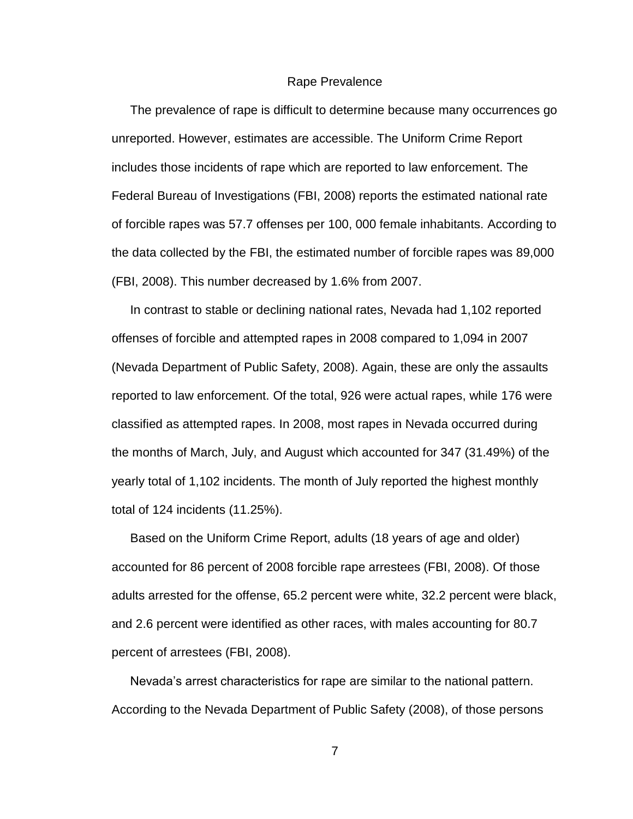#### Rape Prevalence

The prevalence of rape is difficult to determine because many occurrences go unreported. However, estimates are accessible. The Uniform Crime Report includes those incidents of rape which are reported to law enforcement. The Federal Bureau of Investigations (FBI, 2008) reports the estimated national rate of forcible rapes was 57.7 offenses per 100, 000 female inhabitants. According to the data collected by the FBI, the estimated number of forcible rapes was 89,000 (FBI, 2008). This number decreased by 1.6% from 2007.

In contrast to stable or declining national rates, Nevada had 1,102 reported offenses of forcible and attempted rapes in 2008 compared to 1,094 in 2007 (Nevada Department of Public Safety, 2008). Again, these are only the assaults reported to law enforcement. Of the total, 926 were actual rapes, while 176 were classified as attempted rapes. In 2008, most rapes in Nevada occurred during the months of March, July, and August which accounted for 347 (31.49%) of the yearly total of 1,102 incidents. The month of July reported the highest monthly total of 124 incidents (11.25%).

Based on the Uniform Crime Report, adults (18 years of age and older) accounted for 86 percent of 2008 forcible rape arrestees (FBI, 2008). Of those adults arrested for the offense, 65.2 percent were white, 32.2 percent were black, and 2.6 percent were identified as other races, with males accounting for 80.7 percent of arrestees (FBI, 2008).

Nevada"s arrest characteristics for rape are similar to the national pattern. According to the Nevada Department of Public Safety (2008), of those persons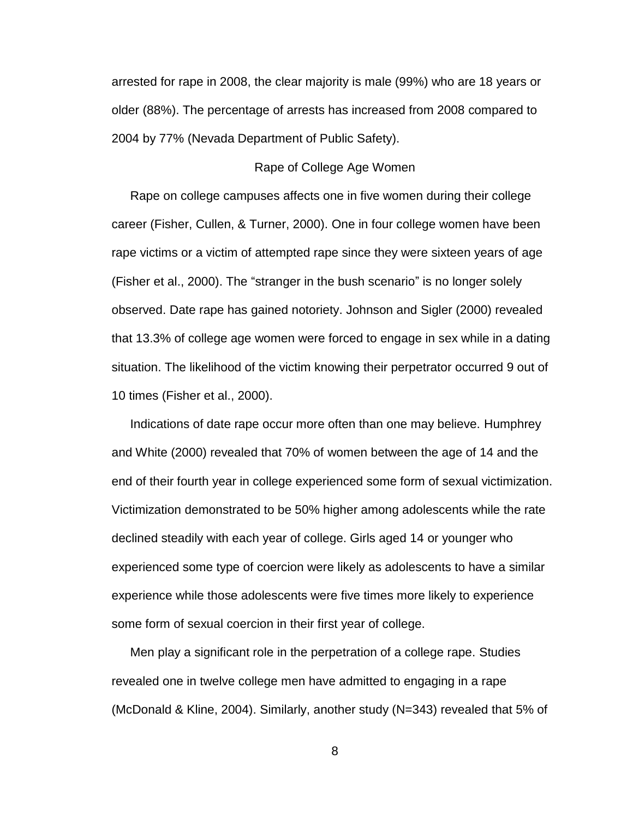arrested for rape in 2008, the clear majority is male (99%) who are 18 years or older (88%). The percentage of arrests has increased from 2008 compared to 2004 by 77% (Nevada Department of Public Safety).

#### Rape of College Age Women

Rape on college campuses affects one in five women during their college career (Fisher, Cullen, & Turner, 2000). One in four college women have been rape victims or a victim of attempted rape since they were sixteen years of age (Fisher et al., 2000). The "stranger in the bush scenario" is no longer solely observed. Date rape has gained notoriety. Johnson and Sigler (2000) revealed that 13.3% of college age women were forced to engage in sex while in a dating situation. The likelihood of the victim knowing their perpetrator occurred 9 out of 10 times (Fisher et al., 2000).

Indications of date rape occur more often than one may believe. Humphrey and White (2000) revealed that 70% of women between the age of 14 and the end of their fourth year in college experienced some form of sexual victimization. Victimization demonstrated to be 50% higher among adolescents while the rate declined steadily with each year of college. Girls aged 14 or younger who experienced some type of coercion were likely as adolescents to have a similar experience while those adolescents were five times more likely to experience some form of sexual coercion in their first year of college.

Men play a significant role in the perpetration of a college rape. Studies revealed one in twelve college men have admitted to engaging in a rape (McDonald & Kline, 2004). Similarly, another study (N=343) revealed that 5% of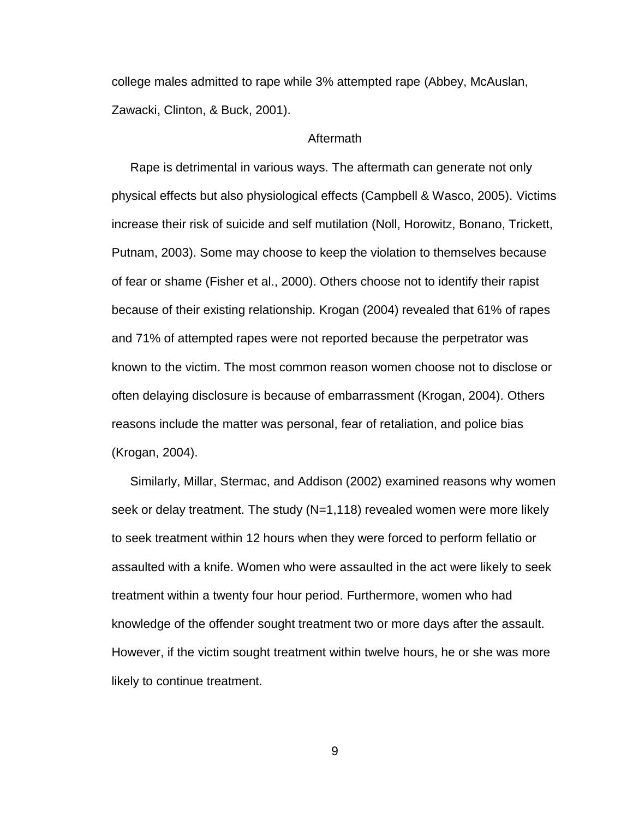college males admitted to rape while 3% attempted rape (Abbey, McAuslan, Zawacki, Clinton, & Buck, 2001).

#### Aftermath

Rape is detrimental in various ways. The aftermath can generate not only physical effects but also physiological effects (Campbell & Wasco, 2005). Victims increase their risk of suicide and self mutilation (Noll, Horowitz, Bonano, Trickett, Putnam, 2003). Some may choose to keep the violation to themselves because of fear or shame (Fisher et al., 2000). Others choose not to identify their rapist because of their existing relationship. Krogan (2004) revealed that 61% of rapes and 71% of attempted rapes were not reported because the perpetrator was known to the victim. The most common reason women choose not to disclose or often delaying disclosure is because of embarrassment (Krogan, 2004). Others reasons include the matter was personal, fear of retaliation, and police bias (Krogan, 2004).

Similarly, Millar, Stermac, and Addison (2002) examined reasons why women seek or delay treatment. The study (N=1,118) revealed women were more likely to seek treatment within 12 hours when they were forced to perform fellatio or assaulted with a knife. Women who were assaulted in the act were likely to seek treatment within a twenty four hour period. Furthermore, women who had knowledge of the offender sought treatment two or more days after the assault. However, if the victim sought treatment within twelve hours, he or she was more likely to continue treatment.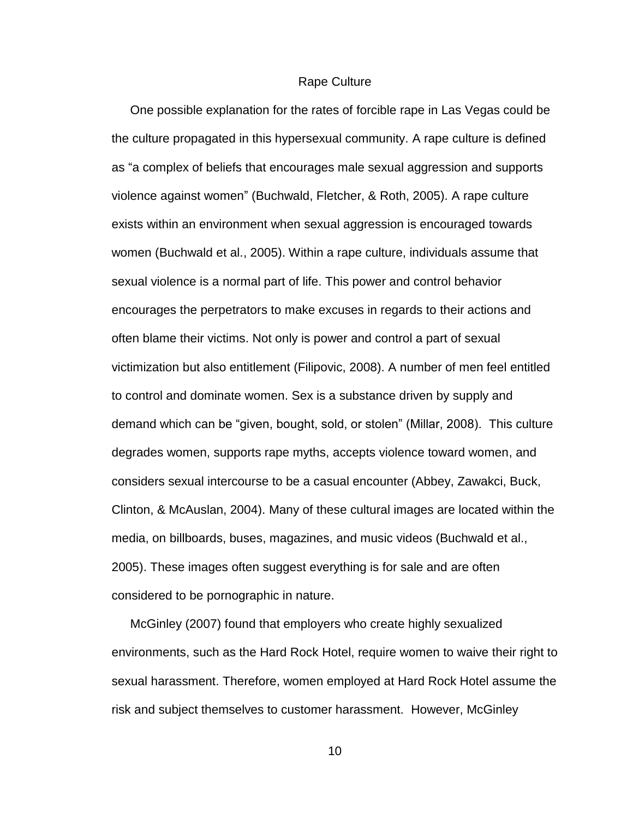#### Rape Culture

One possible explanation for the rates of forcible rape in Las Vegas could be the culture propagated in this hypersexual community. A rape culture is defined as "a complex of beliefs that encourages male sexual aggression and supports violence against women" (Buchwald, Fletcher, & Roth, 2005). A rape culture exists within an environment when sexual aggression is encouraged towards women (Buchwald et al., 2005). Within a rape culture, individuals assume that sexual violence is a normal part of life. This power and control behavior encourages the perpetrators to make excuses in regards to their actions and often blame their victims. Not only is power and control a part of sexual victimization but also entitlement (Filipovic, 2008). A number of men feel entitled to control and dominate women. Sex is a substance driven by supply and demand which can be "given, bought, sold, or stolen" (Millar, 2008). This culture degrades women, supports rape myths, accepts violence toward women, and considers sexual intercourse to be a casual encounter (Abbey, Zawakci, Buck, Clinton, & McAuslan, 2004). Many of these cultural images are located within the media, on billboards, buses, magazines, and music videos (Buchwald et al., 2005). These images often suggest everything is for sale and are often considered to be pornographic in nature.

McGinley (2007) found that employers who create highly sexualized environments, such as the Hard Rock Hotel, require women to waive their right to sexual harassment. Therefore, women employed at Hard Rock Hotel assume the risk and subject themselves to customer harassment. However, McGinley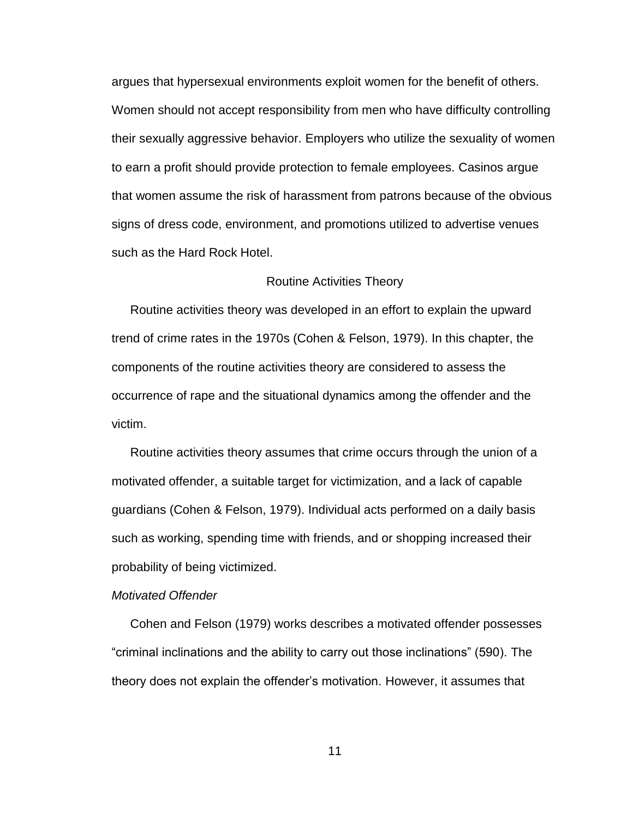argues that hypersexual environments exploit women for the benefit of others. Women should not accept responsibility from men who have difficulty controlling their sexually aggressive behavior. Employers who utilize the sexuality of women to earn a profit should provide protection to female employees. Casinos argue that women assume the risk of harassment from patrons because of the obvious signs of dress code, environment, and promotions utilized to advertise venues such as the Hard Rock Hotel.

#### Routine Activities Theory

Routine activities theory was developed in an effort to explain the upward trend of crime rates in the 1970s (Cohen & Felson, 1979). In this chapter, the components of the routine activities theory are considered to assess the occurrence of rape and the situational dynamics among the offender and the victim.

Routine activities theory assumes that crime occurs through the union of a motivated offender, a suitable target for victimization, and a lack of capable guardians (Cohen & Felson, 1979). Individual acts performed on a daily basis such as working, spending time with friends, and or shopping increased their probability of being victimized.

#### *Motivated Offender*

Cohen and Felson (1979) works describes a motivated offender possesses "criminal inclinations and the ability to carry out those inclinations" (590). The theory does not explain the offender"s motivation. However, it assumes that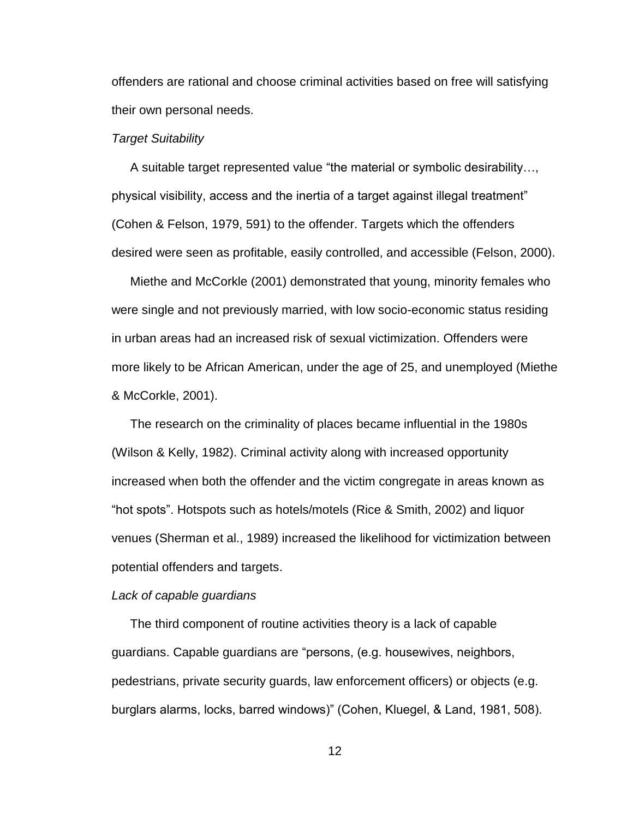offenders are rational and choose criminal activities based on free will satisfying their own personal needs.

#### *Target Suitability*

A suitable target represented value "the material or symbolic desirability…, physical visibility, access and the inertia of a target against illegal treatment" (Cohen & Felson, 1979, 591) to the offender. Targets which the offenders desired were seen as profitable, easily controlled, and accessible (Felson, 2000).

Miethe and McCorkle (2001) demonstrated that young, minority females who were single and not previously married, with low socio-economic status residing in urban areas had an increased risk of sexual victimization. Offenders were more likely to be African American, under the age of 25, and unemployed (Miethe & McCorkle, 2001).

The research on the criminality of places became influential in the 1980s (Wilson & Kelly, 1982). Criminal activity along with increased opportunity increased when both the offender and the victim congregate in areas known as "hot spots". Hotspots such as hotels/motels (Rice & Smith, 2002) and liquor venues (Sherman et al., 1989) increased the likelihood for victimization between potential offenders and targets.

#### *Lack of capable guardians*

The third component of routine activities theory is a lack of capable guardians. Capable guardians are "persons, (e.g. housewives, neighbors, pedestrians, private security guards, law enforcement officers) or objects (e.g. burglars alarms, locks, barred windows)" (Cohen, Kluegel, & Land, 1981, 508).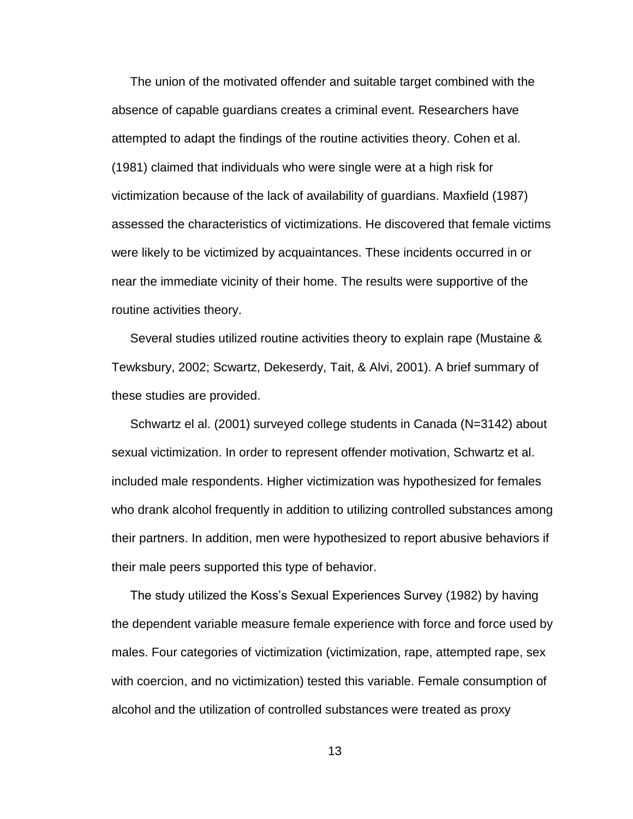The union of the motivated offender and suitable target combined with the absence of capable guardians creates a criminal event. Researchers have attempted to adapt the findings of the routine activities theory. Cohen et al. (1981) claimed that individuals who were single were at a high risk for victimization because of the lack of availability of guardians. Maxfield (1987) assessed the characteristics of victimizations. He discovered that female victims were likely to be victimized by acquaintances. These incidents occurred in or near the immediate vicinity of their home. The results were supportive of the routine activities theory.

Several studies utilized routine activities theory to explain rape (Mustaine & Tewksbury, 2002; Scwartz, Dekeserdy, Tait, & Alvi, 2001). A brief summary of these studies are provided.

Schwartz el al. (2001) surveyed college students in Canada (N=3142) about sexual victimization. In order to represent offender motivation, Schwartz et al. included male respondents. Higher victimization was hypothesized for females who drank alcohol frequently in addition to utilizing controlled substances among their partners. In addition, men were hypothesized to report abusive behaviors if their male peers supported this type of behavior.

The study utilized the Koss"s Sexual Experiences Survey (1982) by having the dependent variable measure female experience with force and force used by males. Four categories of victimization (victimization, rape, attempted rape, sex with coercion, and no victimization) tested this variable. Female consumption of alcohol and the utilization of controlled substances were treated as proxy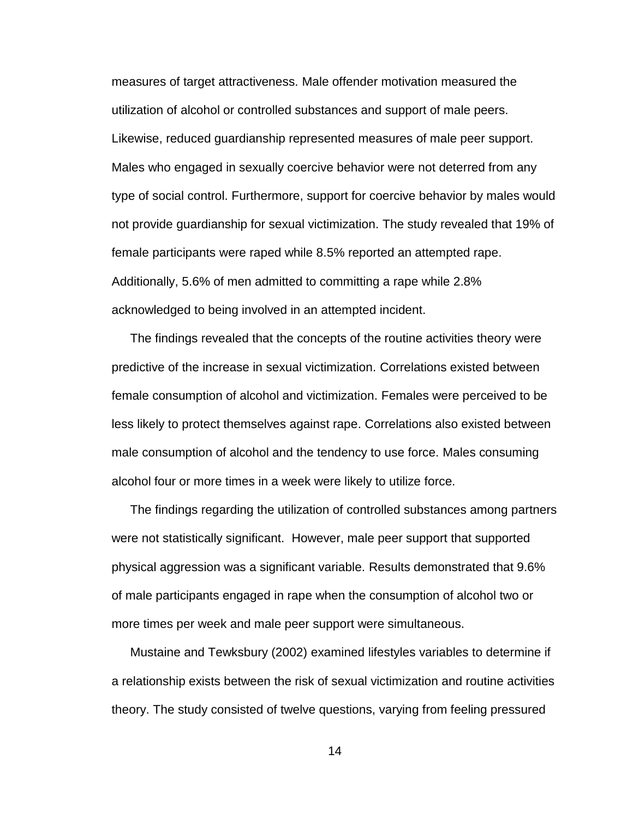measures of target attractiveness. Male offender motivation measured the utilization of alcohol or controlled substances and support of male peers. Likewise, reduced guardianship represented measures of male peer support. Males who engaged in sexually coercive behavior were not deterred from any type of social control. Furthermore, support for coercive behavior by males would not provide guardianship for sexual victimization. The study revealed that 19% of female participants were raped while 8.5% reported an attempted rape. Additionally, 5.6% of men admitted to committing a rape while 2.8% acknowledged to being involved in an attempted incident.

The findings revealed that the concepts of the routine activities theory were predictive of the increase in sexual victimization. Correlations existed between female consumption of alcohol and victimization. Females were perceived to be less likely to protect themselves against rape. Correlations also existed between male consumption of alcohol and the tendency to use force. Males consuming alcohol four or more times in a week were likely to utilize force.

The findings regarding the utilization of controlled substances among partners were not statistically significant. However, male peer support that supported physical aggression was a significant variable. Results demonstrated that 9.6% of male participants engaged in rape when the consumption of alcohol two or more times per week and male peer support were simultaneous.

Mustaine and Tewksbury (2002) examined lifestyles variables to determine if a relationship exists between the risk of sexual victimization and routine activities theory. The study consisted of twelve questions, varying from feeling pressured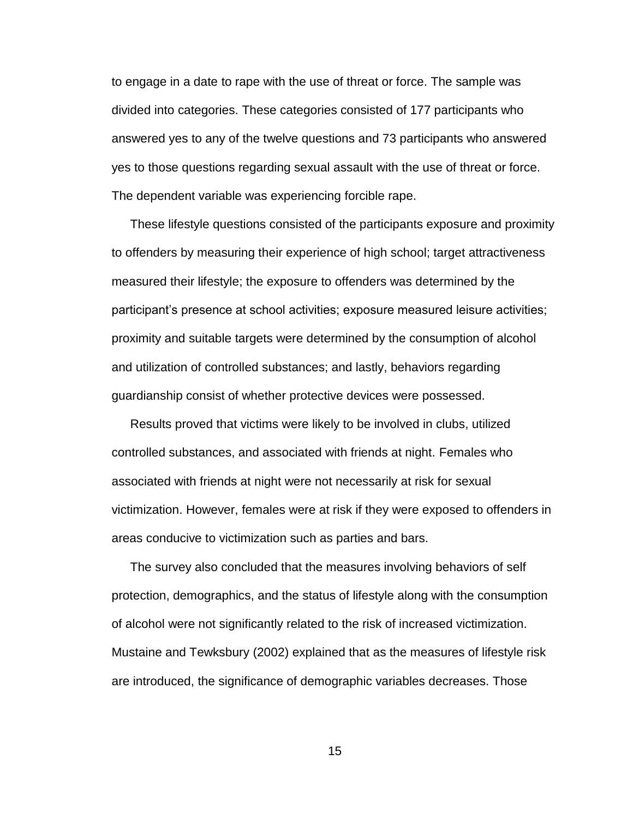to engage in a date to rape with the use of threat or force. The sample was divided into categories. These categories consisted of 177 participants who answered yes to any of the twelve questions and 73 participants who answered yes to those questions regarding sexual assault with the use of threat or force. The dependent variable was experiencing forcible rape.

These lifestyle questions consisted of the participants exposure and proximity to offenders by measuring their experience of high school; target attractiveness measured their lifestyle; the exposure to offenders was determined by the participant's presence at school activities; exposure measured leisure activities; proximity and suitable targets were determined by the consumption of alcohol and utilization of controlled substances; and lastly, behaviors regarding guardianship consist of whether protective devices were possessed.

Results proved that victims were likely to be involved in clubs, utilized controlled substances, and associated with friends at night. Females who associated with friends at night were not necessarily at risk for sexual victimization. However, females were at risk if they were exposed to offenders in areas conducive to victimization such as parties and bars.

The survey also concluded that the measures involving behaviors of self protection, demographics, and the status of lifestyle along with the consumption of alcohol were not significantly related to the risk of increased victimization. Mustaine and Tewksbury (2002) explained that as the measures of lifestyle risk are introduced, the significance of demographic variables decreases. Those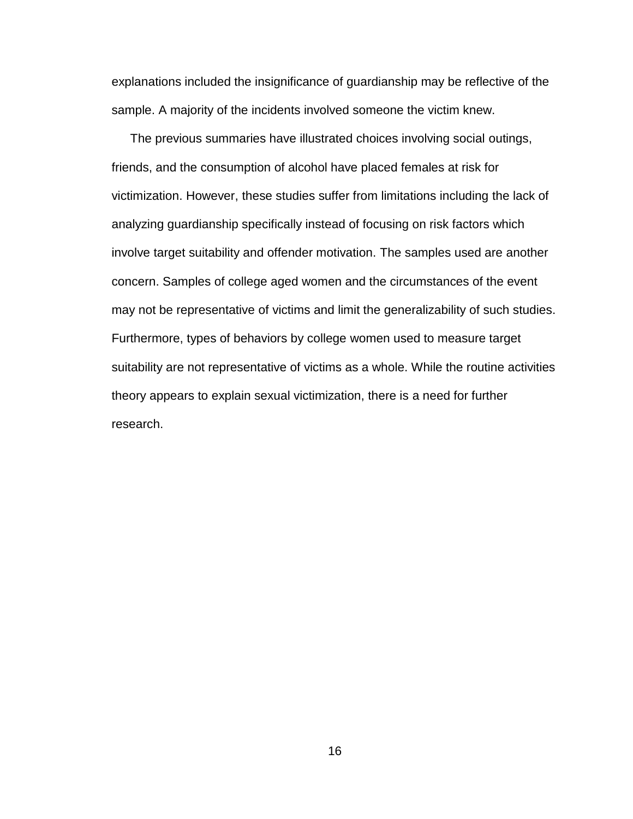explanations included the insignificance of guardianship may be reflective of the sample. A majority of the incidents involved someone the victim knew.

The previous summaries have illustrated choices involving social outings, friends, and the consumption of alcohol have placed females at risk for victimization. However, these studies suffer from limitations including the lack of analyzing guardianship specifically instead of focusing on risk factors which involve target suitability and offender motivation. The samples used are another concern. Samples of college aged women and the circumstances of the event may not be representative of victims and limit the generalizability of such studies. Furthermore, types of behaviors by college women used to measure target suitability are not representative of victims as a whole. While the routine activities theory appears to explain sexual victimization, there is a need for further research.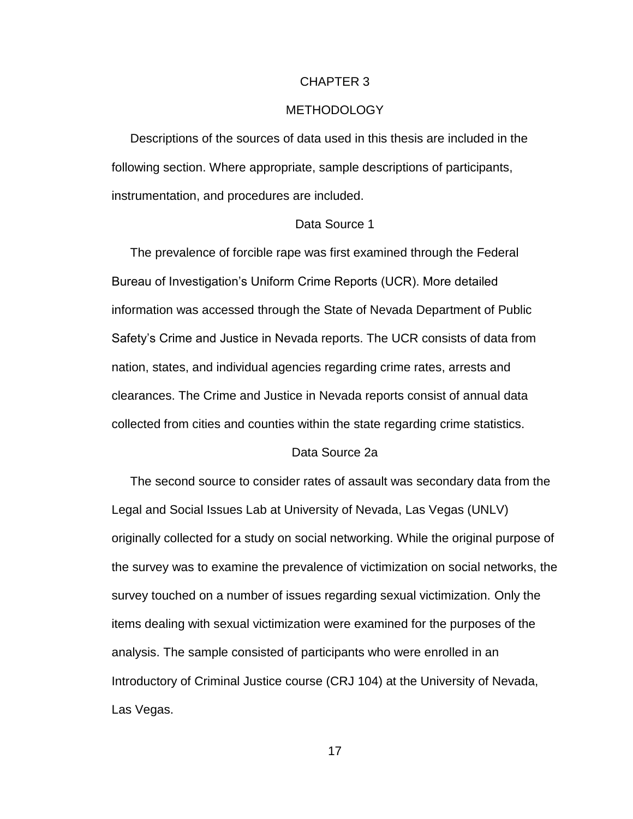#### CHAPTER 3

#### METHODOLOGY

Descriptions of the sources of data used in this thesis are included in the following section. Where appropriate, sample descriptions of participants, instrumentation, and procedures are included.

#### Data Source 1

The prevalence of forcible rape was first examined through the Federal Bureau of Investigation"s Uniform Crime Reports (UCR). More detailed information was accessed through the State of Nevada Department of Public Safety"s Crime and Justice in Nevada reports. The UCR consists of data from nation, states, and individual agencies regarding crime rates, arrests and clearances. The Crime and Justice in Nevada reports consist of annual data collected from cities and counties within the state regarding crime statistics.

#### Data Source 2a

The second source to consider rates of assault was secondary data from the Legal and Social Issues Lab at University of Nevada, Las Vegas (UNLV) originally collected for a study on social networking. While the original purpose of the survey was to examine the prevalence of victimization on social networks, the survey touched on a number of issues regarding sexual victimization. Only the items dealing with sexual victimization were examined for the purposes of the analysis. The sample consisted of participants who were enrolled in an Introductory of Criminal Justice course (CRJ 104) at the University of Nevada, Las Vegas.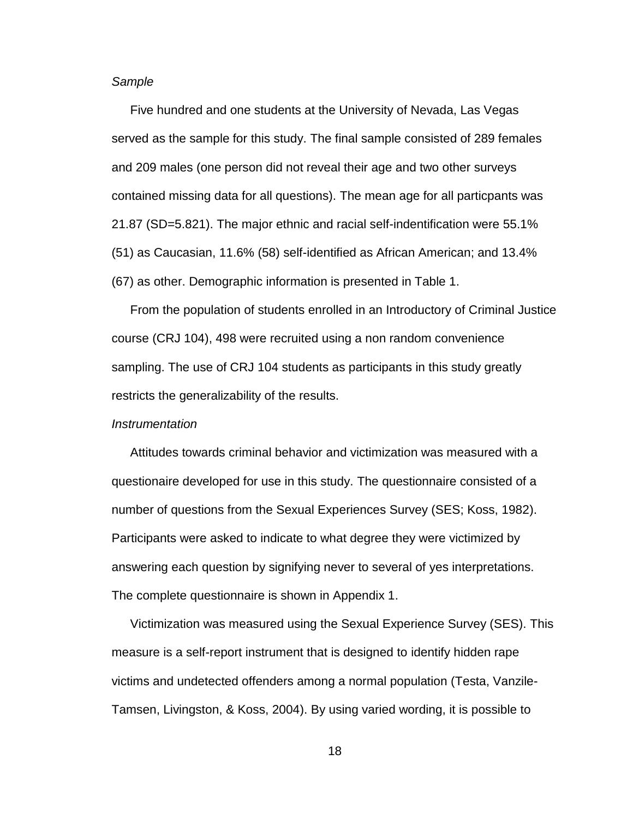#### *Sample*

Five hundred and one students at the University of Nevada, Las Vegas served as the sample for this study. The final sample consisted of 289 females and 209 males (one person did not reveal their age and two other surveys contained missing data for all questions). The mean age for all particpants was 21.87 (SD=5.821). The major ethnic and racial self-indentification were 55.1% (51) as Caucasian, 11.6% (58) self-identified as African American; and 13.4% (67) as other. Demographic information is presented in Table 1.

From the population of students enrolled in an Introductory of Criminal Justice course (CRJ 104), 498 were recruited using a non random convenience sampling. The use of CRJ 104 students as participants in this study greatly restricts the generalizability of the results.

#### *Instrumentation*

Attitudes towards criminal behavior and victimization was measured with a questionaire developed for use in this study. The questionnaire consisted of a number of questions from the Sexual Experiences Survey (SES; Koss, 1982). Participants were asked to indicate to what degree they were victimized by answering each question by signifying never to several of yes interpretations. The complete questionnaire is shown in Appendix 1.

Victimization was measured using the Sexual Experience Survey (SES). This measure is a self-report instrument that is designed to identify hidden rape victims and undetected offenders among a normal population (Testa, Vanzile-Tamsen, Livingston, & Koss, 2004). By using varied wording, it is possible to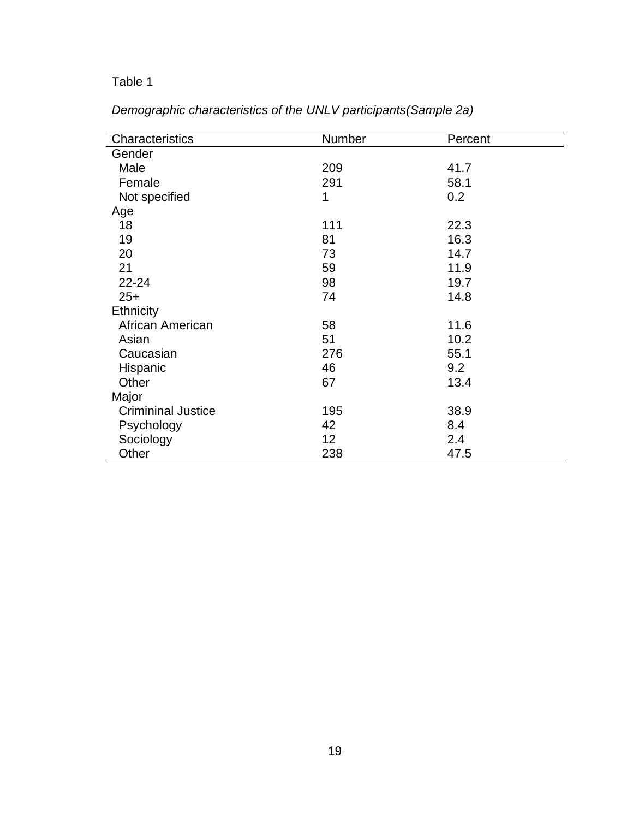## Table 1

| Characteristics           | Number | Percent |  |
|---------------------------|--------|---------|--|
| Gender                    |        |         |  |
| Male                      | 209    | 41.7    |  |
| Female                    | 291    | 58.1    |  |
| Not specified             | 1      | 0.2     |  |
| Age                       |        |         |  |
| 18                        | 111    | 22.3    |  |
| 19                        | 81     | 16.3    |  |
| 20                        | 73     | 14.7    |  |
| 21                        | 59     | 11.9    |  |
| $22 - 24$                 | 98     | 19.7    |  |
| $25+$                     | 74     | 14.8    |  |
| Ethnicity                 |        |         |  |
| African American          | 58     | 11.6    |  |
| Asian                     | 51     | 10.2    |  |
| Caucasian                 | 276    | 55.1    |  |
| Hispanic                  | 46     | 9.2     |  |
| Other                     | 67     | 13.4    |  |
| Major                     |        |         |  |
| <b>Crimininal Justice</b> | 195    | 38.9    |  |
| Psychology                | 42     | 8.4     |  |
| Sociology                 | 12     | 2.4     |  |
| Other                     | 238    | 47.5    |  |

*Demographic characteristics of the UNLV participants(Sample 2a)*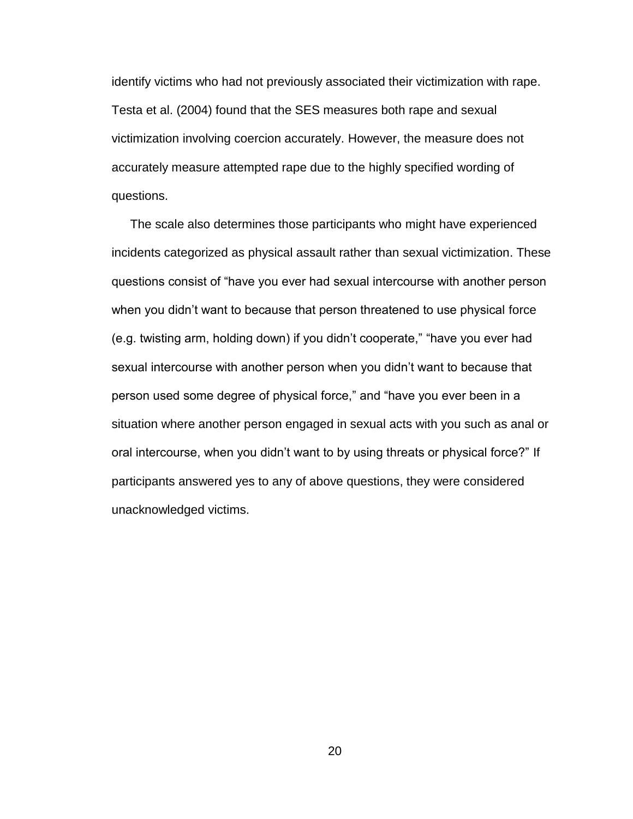identify victims who had not previously associated their victimization with rape. Testa et al. (2004) found that the SES measures both rape and sexual victimization involving coercion accurately. However, the measure does not accurately measure attempted rape due to the highly specified wording of questions.

The scale also determines those participants who might have experienced incidents categorized as physical assault rather than sexual victimization. These questions consist of "have you ever had sexual intercourse with another person when you didn"t want to because that person threatened to use physical force (e.g. twisting arm, holding down) if you didn"t cooperate," "have you ever had sexual intercourse with another person when you didn"t want to because that person used some degree of physical force," and "have you ever been in a situation where another person engaged in sexual acts with you such as anal or oral intercourse, when you didn"t want to by using threats or physical force?" If participants answered yes to any of above questions, they were considered unacknowledged victims.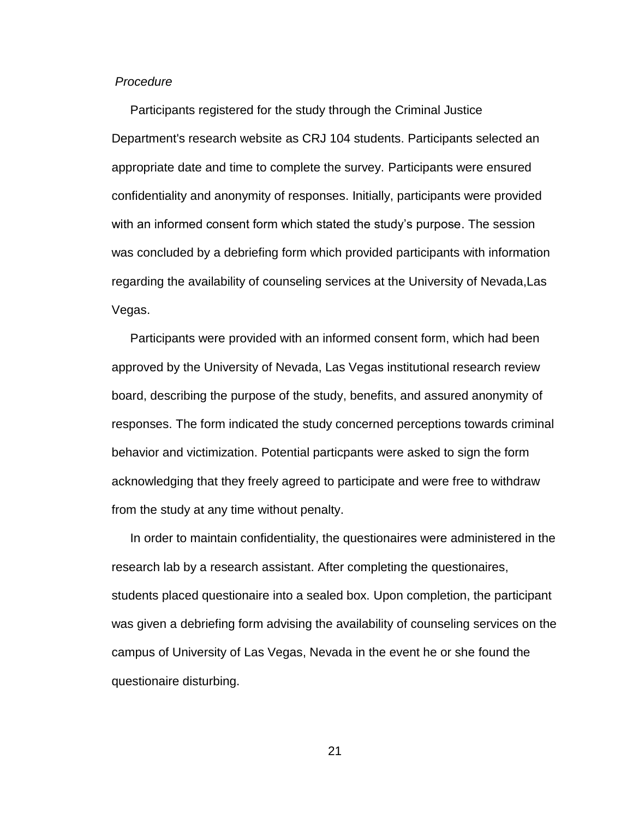#### *Procedure*

Participants registered for the study through the Criminal Justice Department's research website as CRJ 104 students. Participants selected an appropriate date and time to complete the survey. Participants were ensured confidentiality and anonymity of responses. Initially, participants were provided with an informed consent form which stated the study"s purpose. The session was concluded by a debriefing form which provided participants with information regarding the availability of counseling services at the University of Nevada,Las Vegas.

Participants were provided with an informed consent form, which had been approved by the University of Nevada, Las Vegas institutional research review board, describing the purpose of the study, benefits, and assured anonymity of responses. The form indicated the study concerned perceptions towards criminal behavior and victimization. Potential particpants were asked to sign the form acknowledging that they freely agreed to participate and were free to withdraw from the study at any time without penalty.

In order to maintain confidentiality, the questionaires were administered in the research lab by a research assistant. After completing the questionaires, students placed questionaire into a sealed box. Upon completion, the participant was given a debriefing form advising the availability of counseling services on the campus of University of Las Vegas, Nevada in the event he or she found the questionaire disturbing.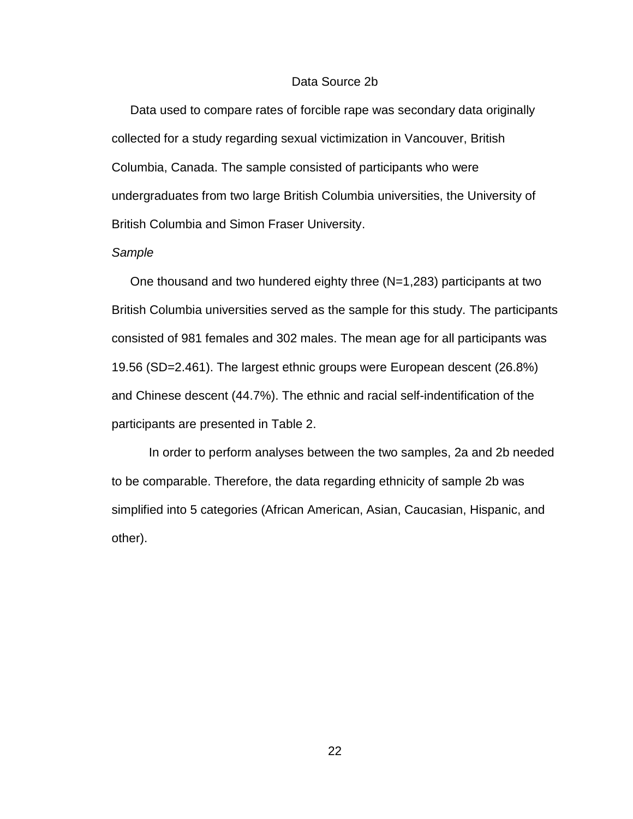#### Data Source 2b

Data used to compare rates of forcible rape was secondary data originally collected for a study regarding sexual victimization in Vancouver, British Columbia, Canada. The sample consisted of participants who were undergraduates from two large British Columbia universities, the University of British Columbia and Simon Fraser University.

#### *Sample*

One thousand and two hundered eighty three (N=1,283) participants at two British Columbia universities served as the sample for this study. The participants consisted of 981 females and 302 males. The mean age for all participants was 19.56 (SD=2.461). The largest ethnic groups were European descent (26.8%) and Chinese descent (44.7%). The ethnic and racial self-indentification of the participants are presented in Table 2.

In order to perform analyses between the two samples, 2a and 2b needed to be comparable. Therefore, the data regarding ethnicity of sample 2b was simplified into 5 categories (African American, Asian, Caucasian, Hispanic, and other).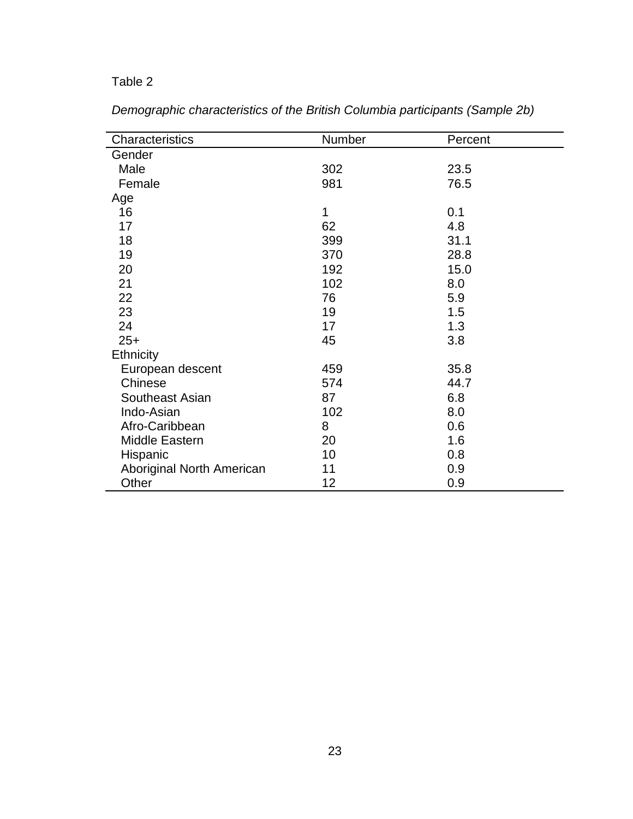## Table 2

| Characteristics           | Number | Percent |  |
|---------------------------|--------|---------|--|
| Gender                    |        |         |  |
| Male                      | 302    | 23.5    |  |
| Female                    | 981    | 76.5    |  |
| Age                       |        |         |  |
| 16                        | 1      | 0.1     |  |
| 17                        | 62     | 4.8     |  |
| 18                        | 399    | 31.1    |  |
| 19                        | 370    | 28.8    |  |
| 20                        | 192    | 15.0    |  |
| 21                        | 102    | 8.0     |  |
| 22                        | 76     | 5.9     |  |
| 23                        | 19     | 1.5     |  |
| 24                        | 17     | 1.3     |  |
| $25+$                     | 45     | 3.8     |  |
| <b>Ethnicity</b>          |        |         |  |
| European descent          | 459    | 35.8    |  |
| Chinese                   | 574    | 44.7    |  |
| Southeast Asian           | 87     | 6.8     |  |
| Indo-Asian                | 102    | 8.0     |  |
| Afro-Caribbean            | 8      | 0.6     |  |
| Middle Eastern            | 20     | 1.6     |  |
| Hispanic                  | 10     | 0.8     |  |
| Aboriginal North American | 11     | 0.9     |  |
| Other                     | 12     | 0.9     |  |

*Demographic characteristics of the British Columbia participants (Sample 2b)*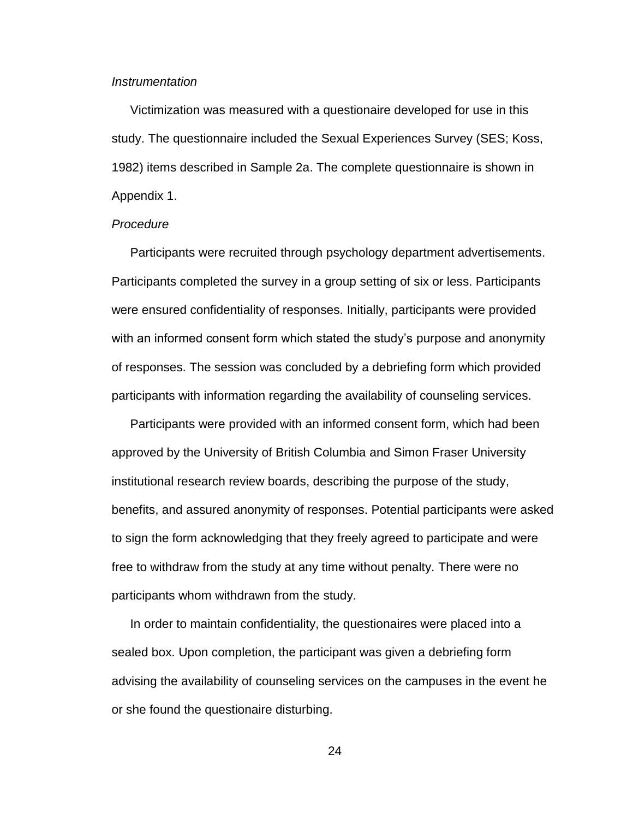#### *Instrumentation*

Victimization was measured with a questionaire developed for use in this study. The questionnaire included the Sexual Experiences Survey (SES; Koss, 1982) items described in Sample 2a. The complete questionnaire is shown in Appendix 1.

#### *Procedure*

Participants were recruited through psychology department advertisements. Participants completed the survey in a group setting of six or less. Participants were ensured confidentiality of responses. Initially, participants were provided with an informed consent form which stated the study's purpose and anonymity of responses. The session was concluded by a debriefing form which provided participants with information regarding the availability of counseling services.

Participants were provided with an informed consent form, which had been approved by the University of British Columbia and Simon Fraser University institutional research review boards, describing the purpose of the study, benefits, and assured anonymity of responses. Potential participants were asked to sign the form acknowledging that they freely agreed to participate and were free to withdraw from the study at any time without penalty. There were no participants whom withdrawn from the study.

In order to maintain confidentiality, the questionaires were placed into a sealed box. Upon completion, the participant was given a debriefing form advising the availability of counseling services on the campuses in the event he or she found the questionaire disturbing.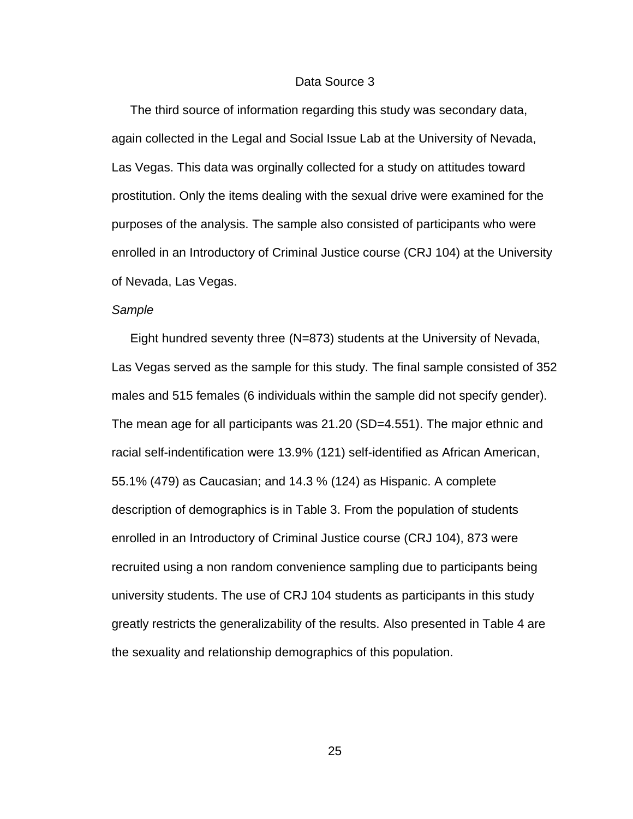#### Data Source 3

The third source of information regarding this study was secondary data, again collected in the Legal and Social Issue Lab at the University of Nevada, Las Vegas. This data was orginally collected for a study on attitudes toward prostitution. Only the items dealing with the sexual drive were examined for the purposes of the analysis. The sample also consisted of participants who were enrolled in an Introductory of Criminal Justice course (CRJ 104) at the University of Nevada, Las Vegas.

#### *Sample*

Eight hundred seventy three (N=873) students at the University of Nevada, Las Vegas served as the sample for this study. The final sample consisted of 352 males and 515 females (6 individuals within the sample did not specify gender). The mean age for all participants was 21.20 (SD=4.551). The major ethnic and racial self-indentification were 13.9% (121) self-identified as African American, 55.1% (479) as Caucasian; and 14.3 % (124) as Hispanic. A complete description of demographics is in Table 3. From the population of students enrolled in an Introductory of Criminal Justice course (CRJ 104), 873 were recruited using a non random convenience sampling due to participants being university students. The use of CRJ 104 students as participants in this study greatly restricts the generalizability of the results. Also presented in Table 4 are the sexuality and relationship demographics of this population.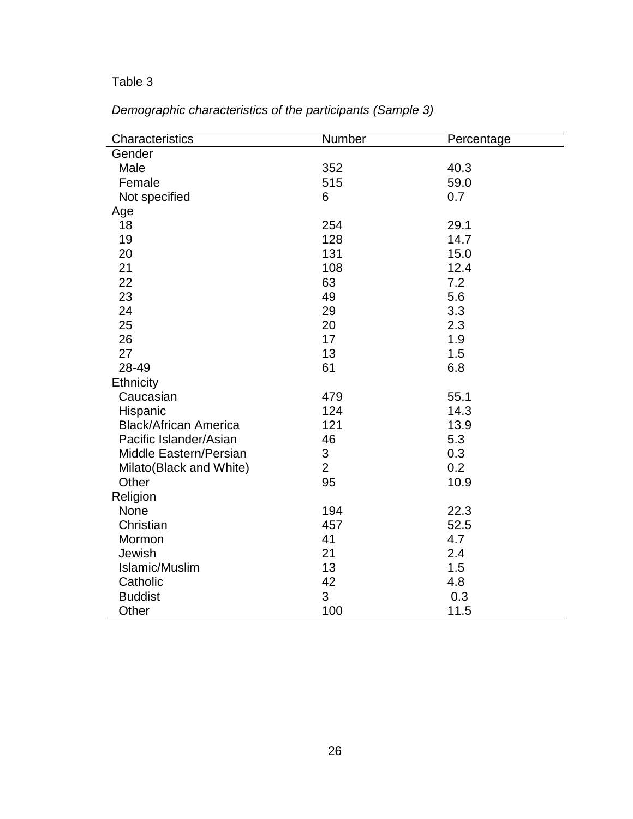## Table 3

| Characteristics              | Number         | Percentage |
|------------------------------|----------------|------------|
| Gender                       |                |            |
| Male                         | 352            | 40.3       |
| Female                       | 515            | 59.0       |
| Not specified                | 6              | 0.7        |
| Age                          |                |            |
| 18                           | 254            | 29.1       |
| 19                           | 128            | 14.7       |
| 20                           | 131            | 15.0       |
| 21                           | 108            | 12.4       |
| 22                           | 63             | 7.2        |
| 23                           | 49             | 5.6        |
| 24                           | 29             | 3.3        |
| 25                           | 20             | 2.3        |
| 26                           | 17             | 1.9        |
| 27                           | 13             | 1.5        |
| 28-49                        | 61             | 6.8        |
| Ethnicity                    |                |            |
| Caucasian                    | 479            | 55.1       |
| Hispanic                     | 124            | 14.3       |
| <b>Black/African America</b> | 121            | 13.9       |
| Pacific Islander/Asian       | 46             | 5.3        |
| Middle Eastern/Persian       | 3              | 0.3        |
| Milato(Black and White)      | $\overline{2}$ | 0.2        |
| Other                        | 95             | 10.9       |
| Religion                     |                |            |
| None                         | 194            | 22.3       |
| Christian                    | 457            | 52.5       |
| Mormon                       | 41             | 4.7        |
| Jewish                       | 21             | 2.4        |
| Islamic/Muslim               | 13             | 1.5        |
| Catholic                     | 42             | 4.8        |
| <b>Buddist</b>               | 3              | 0.3        |
| Other                        | 100            | 11.5       |

*Demographic characteristics of the participants (Sample 3)*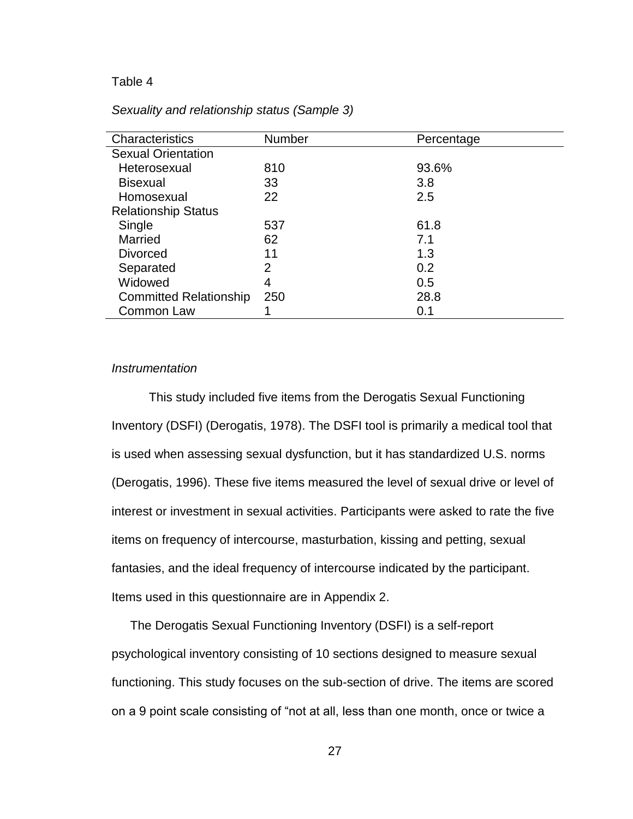#### Table 4

| Characteristics               | <b>Number</b> | Percentage |  |
|-------------------------------|---------------|------------|--|
| <b>Sexual Orientation</b>     |               |            |  |
| Heterosexual                  | 810           | 93.6%      |  |
| <b>Bisexual</b>               | 33            | 3.8        |  |
| Homosexual                    | 22            | 2.5        |  |
| <b>Relationship Status</b>    |               |            |  |
| Single                        | 537           | 61.8       |  |
| Married                       | 62            | 7.1        |  |
| <b>Divorced</b>               | 11            | 1.3        |  |
| Separated                     | 2             | 0.2        |  |
| Widowed                       | 4             | 0.5        |  |
| <b>Committed Relationship</b> | 250           | 28.8       |  |
| Common Law                    |               | 0.1        |  |

#### *Sexuality and relationship status (Sample 3)*

#### *Instrumentation*

This study included five items from the Derogatis Sexual Functioning Inventory (DSFI) (Derogatis, 1978). The DSFI tool is primarily a medical tool that is used when assessing sexual dysfunction, but it has standardized U.S. norms (Derogatis, 1996). These five items measured the level of sexual drive or level of interest or investment in sexual activities. Participants were asked to rate the five items on frequency of intercourse, masturbation, kissing and petting, sexual fantasies, and the ideal frequency of intercourse indicated by the participant. Items used in this questionnaire are in Appendix 2.

The Derogatis Sexual Functioning Inventory (DSFI) is a self-report psychological inventory consisting of 10 sections designed to measure sexual functioning. This study focuses on the sub-section of drive. The items are scored on a 9 point scale consisting of "not at all, less than one month, once or twice a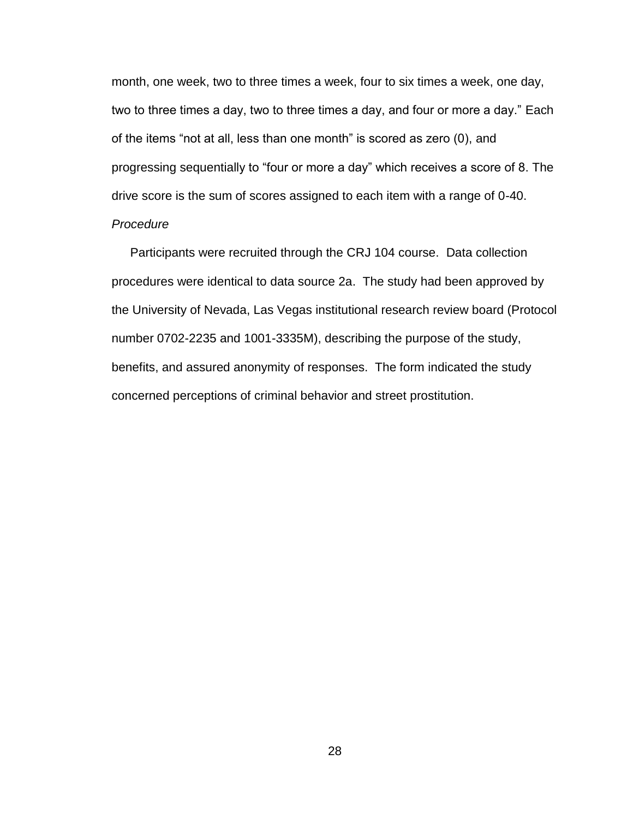month, one week, two to three times a week, four to six times a week, one day, two to three times a day, two to three times a day, and four or more a day." Each of the items "not at all, less than one month" is scored as zero (0), and progressing sequentially to "four or more a day" which receives a score of 8. The drive score is the sum of scores assigned to each item with a range of 0-40. *Procedure*

Participants were recruited through the CRJ 104 course. Data collection procedures were identical to data source 2a. The study had been approved by the University of Nevada, Las Vegas institutional research review board (Protocol number 0702-2235 and 1001-3335M), describing the purpose of the study, benefits, and assured anonymity of responses. The form indicated the study concerned perceptions of criminal behavior and street prostitution.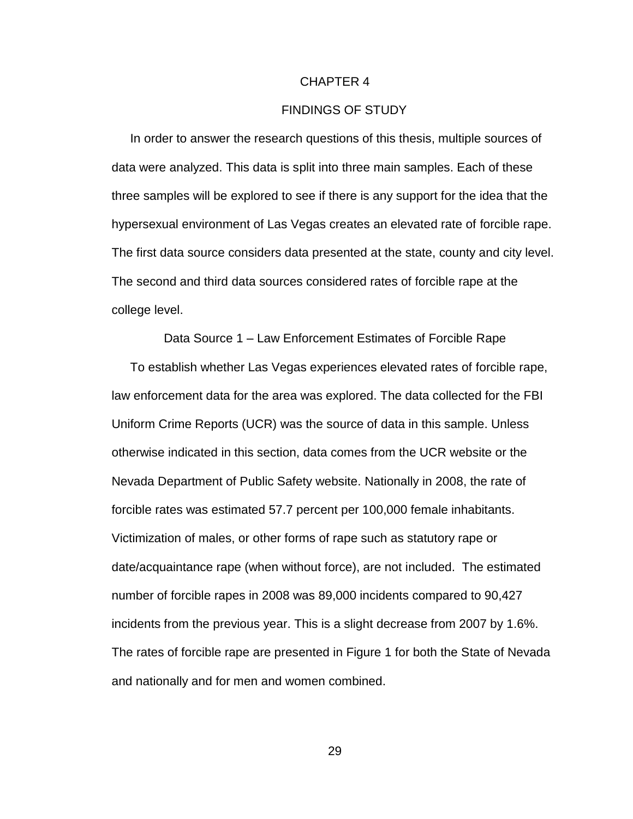#### CHAPTER 4

### FINDINGS OF STUDY

In order to answer the research questions of this thesis, multiple sources of data were analyzed. This data is split into three main samples. Each of these three samples will be explored to see if there is any support for the idea that the hypersexual environment of Las Vegas creates an elevated rate of forcible rape. The first data source considers data presented at the state, county and city level. The second and third data sources considered rates of forcible rape at the college level.

Data Source 1 – Law Enforcement Estimates of Forcible Rape

To establish whether Las Vegas experiences elevated rates of forcible rape, law enforcement data for the area was explored. The data collected for the FBI Uniform Crime Reports (UCR) was the source of data in this sample. Unless otherwise indicated in this section, data comes from the UCR website or the Nevada Department of Public Safety website. Nationally in 2008, the rate of forcible rates was estimated 57.7 percent per 100,000 female inhabitants. Victimization of males, or other forms of rape such as statutory rape or date/acquaintance rape (when without force), are not included. The estimated number of forcible rapes in 2008 was 89,000 incidents compared to 90,427 incidents from the previous year. This is a slight decrease from 2007 by 1.6%. The rates of forcible rape are presented in Figure 1 for both the State of Nevada and nationally and for men and women combined.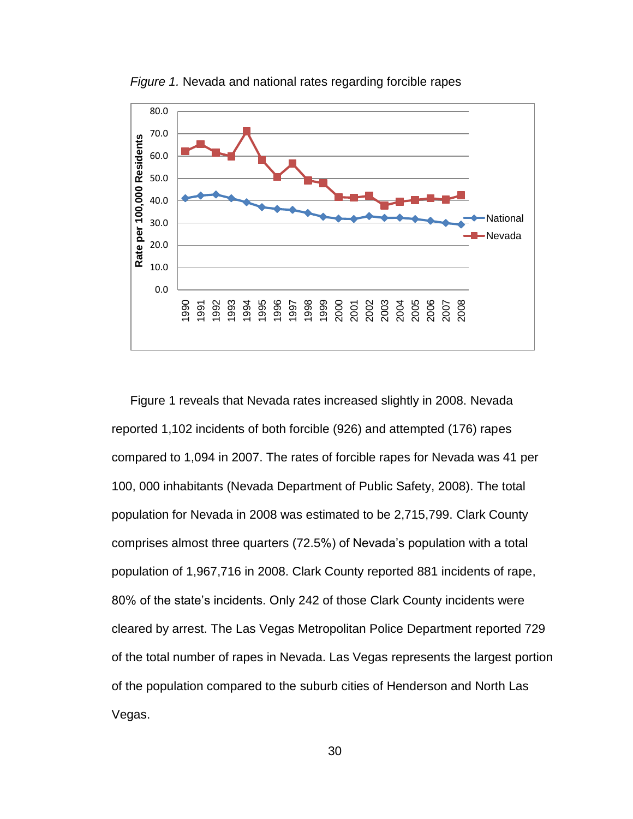

*Figure 1.* Nevada and national rates regarding forcible rapes

Figure 1 reveals that Nevada rates increased slightly in 2008. Nevada reported 1,102 incidents of both forcible (926) and attempted (176) rapes compared to 1,094 in 2007. The rates of forcible rapes for Nevada was 41 per 100, 000 inhabitants (Nevada Department of Public Safety, 2008). The total population for Nevada in 2008 was estimated to be 2,715,799. Clark County comprises almost three quarters (72.5%) of Nevada"s population with a total population of 1,967,716 in 2008. Clark County reported 881 incidents of rape, 80% of the state"s incidents. Only 242 of those Clark County incidents were cleared by arrest. The Las Vegas Metropolitan Police Department reported 729 of the total number of rapes in Nevada. Las Vegas represents the largest portion of the population compared to the suburb cities of Henderson and North Las Vegas.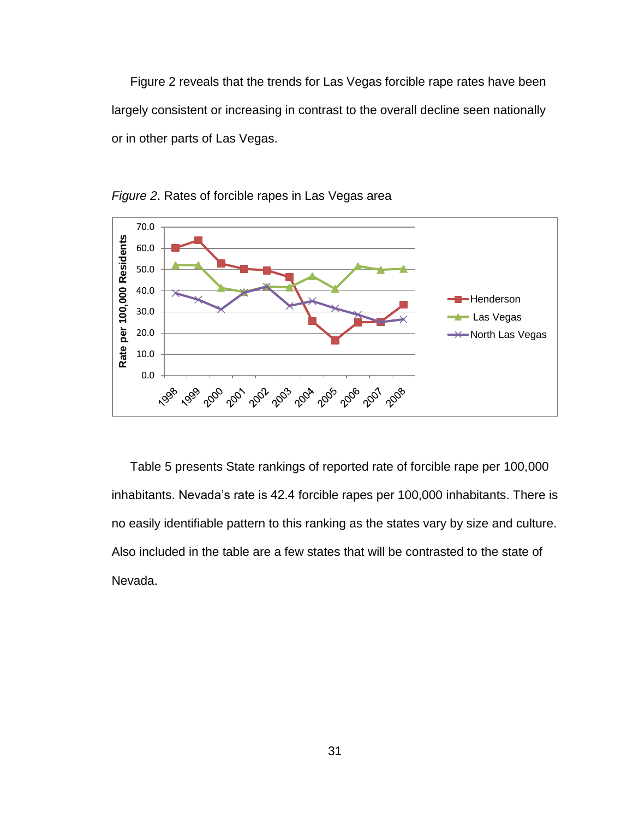Figure 2 reveals that the trends for Las Vegas forcible rape rates have been largely consistent or increasing in contrast to the overall decline seen nationally or in other parts of Las Vegas.



*Figure 2*. Rates of forcible rapes in Las Vegas area

Table 5 presents State rankings of reported rate of forcible rape per 100,000 inhabitants. Nevada's rate is 42.4 forcible rapes per 100,000 inhabitants. There is no easily identifiable pattern to this ranking as the states vary by size and culture. Also included in the table are a few states that will be contrasted to the state of Nevada.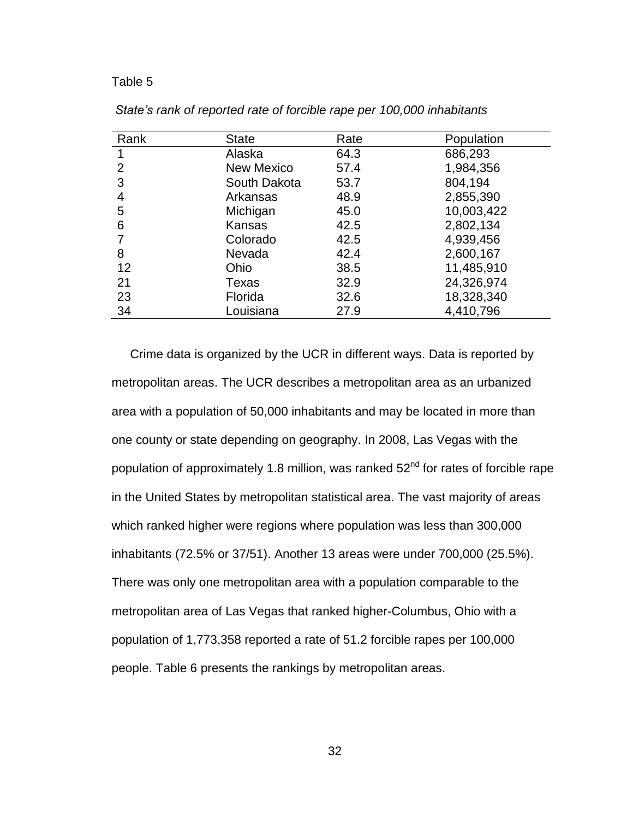| Rank          | <b>State</b>      | Rate | Population |
|---------------|-------------------|------|------------|
|               | Alaska            | 64.3 | 686,293    |
| $\mathcal{P}$ | <b>New Mexico</b> | 57.4 | 1,984,356  |
| 3             | South Dakota      | 53.7 | 804,194    |
| 4             | Arkansas          | 48.9 | 2,855,390  |
| 5             | Michigan          | 45.0 | 10,003,422 |
| 6             | Kansas            | 42.5 | 2,802,134  |
|               | Colorado          | 42.5 | 4,939,456  |
| 8             | Nevada            | 42.4 | 2,600,167  |
| 12            | Ohio              | 38.5 | 11,485,910 |
| 21            | Texas             | 32.9 | 24,326,974 |
| 23            | Florida           | 32.6 | 18,328,340 |
| 34            | Louisiana         | 27.9 | 4,410,796  |

*State's rank of reported rate of forcible rape per 100,000 inhabitants*

Crime data is organized by the UCR in different ways. Data is reported by metropolitan areas. The UCR describes a metropolitan area as an urbanized area with a population of 50,000 inhabitants and may be located in more than one county or state depending on geography. In 2008, Las Vegas with the population of approximately 1.8 million, was ranked  $52<sup>nd</sup>$  for rates of forcible rape in the United States by metropolitan statistical area. The vast majority of areas which ranked higher were regions where population was less than 300,000 inhabitants (72.5% or 37/51). Another 13 areas were under 700,000 (25.5%). There was only one metropolitan area with a population comparable to the metropolitan area of Las Vegas that ranked higher-Columbus, Ohio with a population of 1,773,358 reported a rate of 51.2 forcible rapes per 100,000 people. Table 6 presents the rankings by metropolitan areas.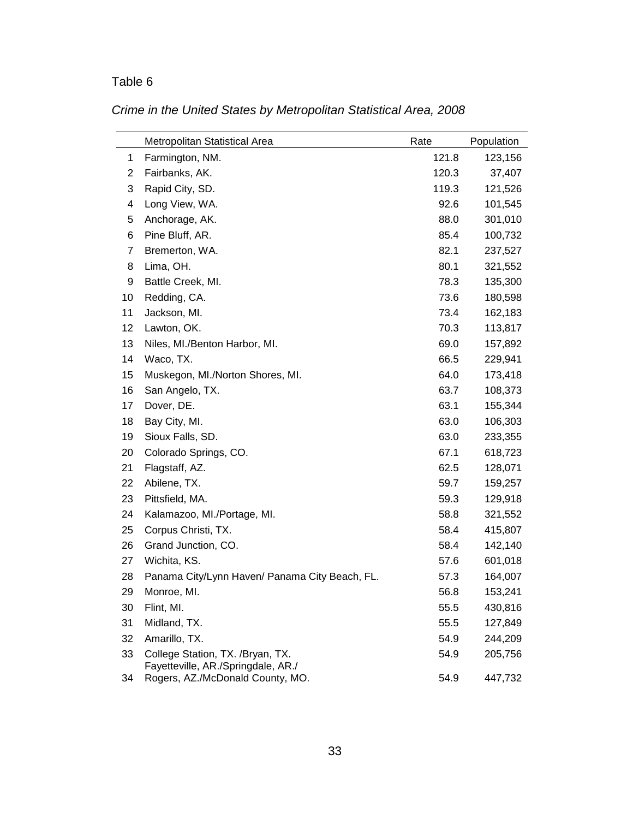|    | Metropolitan Statistical Area                                          | Rate  | Population |
|----|------------------------------------------------------------------------|-------|------------|
| 1  | Farmington, NM.                                                        | 121.8 | 123,156    |
| 2  | Fairbanks, AK.                                                         | 120.3 | 37,407     |
| 3  | Rapid City, SD.                                                        | 119.3 | 121,526    |
| 4  | Long View, WA.                                                         | 92.6  | 101,545    |
| 5  | Anchorage, AK.                                                         | 88.0  | 301,010    |
| 6  | Pine Bluff, AR.                                                        | 85.4  | 100,732    |
| 7  | Bremerton, WA.                                                         | 82.1  | 237,527    |
| 8  | Lima, OH.                                                              | 80.1  | 321,552    |
| 9  | Battle Creek, MI.                                                      | 78.3  | 135,300    |
| 10 | Redding, CA.                                                           | 73.6  | 180,598    |
| 11 | Jackson, MI.                                                           | 73.4  | 162,183    |
| 12 | Lawton, OK.                                                            | 70.3  | 113,817    |
| 13 | Niles, MI./Benton Harbor, MI.                                          | 69.0  | 157,892    |
| 14 | Waco, TX.                                                              | 66.5  | 229,941    |
| 15 | Muskegon, MI./Norton Shores, MI.                                       | 64.0  | 173,418    |
| 16 | San Angelo, TX.                                                        | 63.7  | 108,373    |
| 17 | Dover, DE.                                                             | 63.1  | 155,344    |
| 18 | Bay City, MI.                                                          | 63.0  | 106,303    |
| 19 | Sioux Falls, SD.                                                       | 63.0  | 233,355    |
| 20 | Colorado Springs, CO.                                                  | 67.1  | 618,723    |
| 21 | Flagstaff, AZ.                                                         | 62.5  | 128,071    |
| 22 | Abilene, TX.                                                           | 59.7  | 159,257    |
| 23 | Pittsfield, MA.                                                        | 59.3  | 129,918    |
| 24 | Kalamazoo, MI./Portage, MI.                                            | 58.8  | 321,552    |
| 25 | Corpus Christi, TX.                                                    | 58.4  | 415,807    |
| 26 | Grand Junction, CO.                                                    | 58.4  | 142,140    |
| 27 | Wichita, KS.                                                           | 57.6  | 601,018    |
| 28 | Panama City/Lynn Haven/ Panama City Beach, FL.                         | 57.3  | 164,007    |
| 29 | Monroe, MI.                                                            | 56.8  | 153,241    |
| 30 | Flint, MI.                                                             | 55.5  | 430,816    |
| 31 | Midland, TX.                                                           | 55.5  | 127,849    |
| 32 | Amarillo, TX.                                                          | 54.9  | 244,209    |
| 33 | College Station, TX. /Bryan, TX.<br>Fayetteville, AR./Springdale, AR./ | 54.9  | 205,756    |
| 34 | Rogers, AZ./McDonald County, MO.                                       | 54.9  | 447,732    |

# *Crime in the United States by Metropolitan Statistical Area, 2008*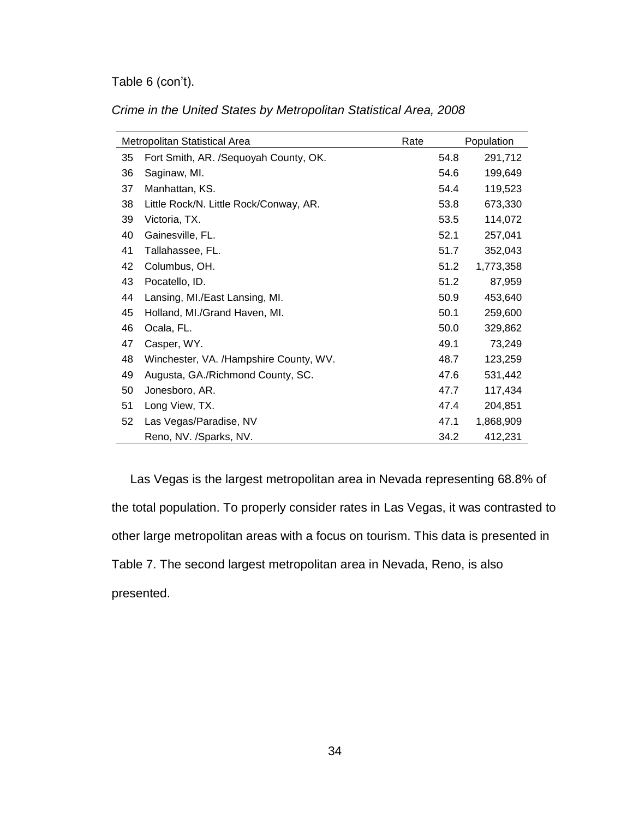# Table 6 (con't).

|    | Metropolitan Statistical Area          | Rate |      | Population |
|----|----------------------------------------|------|------|------------|
| 35 | Fort Smith, AR. /Sequoyah County, OK.  |      | 54.8 | 291,712    |
| 36 | Saginaw, MI.                           |      | 54.6 | 199,649    |
| 37 | Manhattan, KS.                         |      | 54.4 | 119,523    |
| 38 | Little Rock/N. Little Rock/Conway, AR. |      | 53.8 | 673,330    |
| 39 | Victoria, TX.                          |      | 53.5 | 114,072    |
| 40 | Gainesville, FL.                       |      | 52.1 | 257,041    |
| 41 | Tallahassee, FL.                       |      | 51.7 | 352,043    |
| 42 | Columbus, OH.                          |      | 51.2 | 1,773,358  |
| 43 | Pocatello, ID.                         |      | 51.2 | 87,959     |
| 44 | Lansing, MI./East Lansing, MI.         |      | 50.9 | 453,640    |
| 45 | Holland, MI./Grand Haven, MI.          |      | 50.1 | 259,600    |
| 46 | Ocala, FL.                             |      | 50.0 | 329,862    |
| 47 | Casper, WY.                            |      | 49.1 | 73,249     |
| 48 | Winchester, VA. /Hampshire County, WV. |      | 48.7 | 123,259    |
| 49 | Augusta, GA./Richmond County, SC.      |      | 47.6 | 531,442    |
| 50 | Jonesboro, AR.                         |      | 47.7 | 117,434    |
| 51 | Long View, TX.                         |      | 47.4 | 204,851    |
| 52 | Las Vegas/Paradise, NV                 |      | 47.1 | 1,868,909  |
|    | Reno, NV. /Sparks, NV.                 |      | 34.2 | 412,231    |

Las Vegas is the largest metropolitan area in Nevada representing 68.8% of the total population. To properly consider rates in Las Vegas, it was contrasted to other large metropolitan areas with a focus on tourism. This data is presented in Table 7. The second largest metropolitan area in Nevada, Reno, is also presented.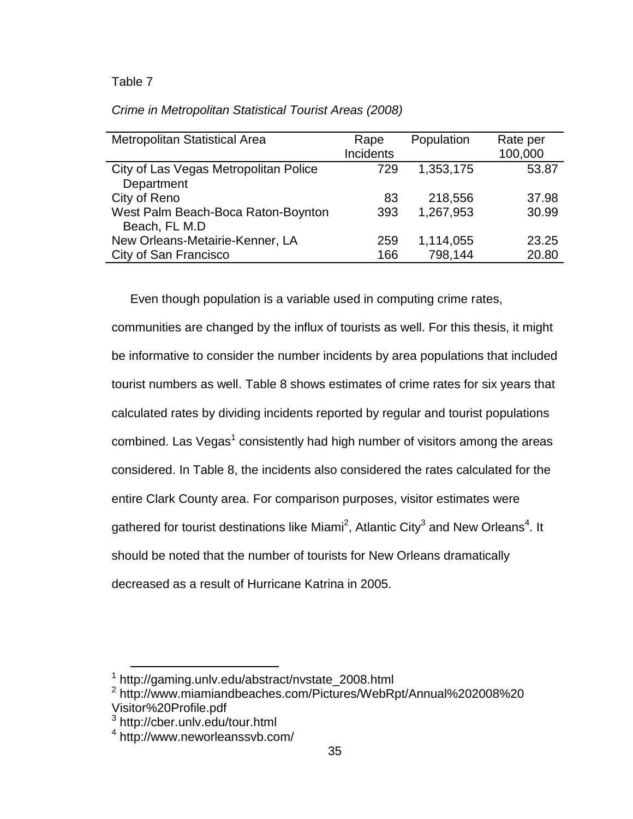| Crime in Metropolitan Statistical Tourist Areas (2008) |  |
|--------------------------------------------------------|--|
|--------------------------------------------------------|--|

| <b>Metropolitan Statistical Area</b>  | Rape      | Population | Rate per |
|---------------------------------------|-----------|------------|----------|
|                                       | Incidents |            | 100,000  |
| City of Las Vegas Metropolitan Police | 729       | 1,353,175  | 53.87    |
| Department                            |           |            |          |
| City of Reno                          | 83        | 218,556    | 37.98    |
| West Palm Beach-Boca Raton-Boynton    | 393       | 1,267,953  | 30.99    |
| Beach, FL M.D                         |           |            |          |
| New Orleans-Metairie-Kenner, LA       | 259       | 1,114,055  | 23.25    |
| City of San Francisco                 | 166       | 798,144    | 20.80    |

Even though population is a variable used in computing crime rates,

communities are changed by the influx of tourists as well. For this thesis, it might be informative to consider the number incidents by area populations that included tourist numbers as well. Table 8 shows estimates of crime rates for six years that calculated rates by dividing incidents reported by regular and tourist populations combined. Las Vegas<sup>1</sup> consistently had high number of visitors among the areas considered. In Table 8, the incidents also considered the rates calculated for the entire Clark County area. For comparison purposes, visitor estimates were gathered for tourist destinations like Miami<sup>2</sup>, Atlantic City<sup>3</sup> and New Orleans<sup>4</sup>. It should be noted that the number of tourists for New Orleans dramatically decreased as a result of Hurricane Katrina in 2005.

 1 http://gaming.unlv.edu/abstract/nvstate\_2008.html

<sup>2</sup> http://www.miamiandbeaches.com/Pictures/WebRpt/Annual%202008%20 Visitor%20Profile.pdf

<sup>3</sup> <http://cber.unlv.edu/tour.html>

<sup>4</sup> http://www.neworleanssvb.com/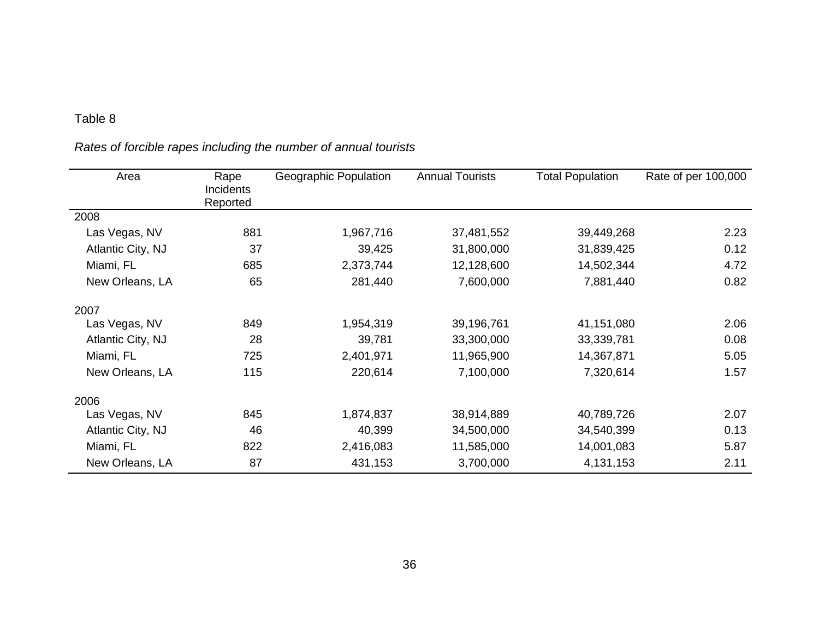# *Rates of forcible rapes including the number of annual tourists*

| Area              | Rape<br><b>Incidents</b><br>Reported | Geographic Population | <b>Annual Tourists</b> | <b>Total Population</b> | Rate of per 100,000 |
|-------------------|--------------------------------------|-----------------------|------------------------|-------------------------|---------------------|
| 2008              |                                      |                       |                        |                         |                     |
| Las Vegas, NV     | 881                                  | 1,967,716             | 37,481,552             | 39,449,268              | 2.23                |
| Atlantic City, NJ | 37                                   | 39,425                | 31,800,000             | 31,839,425              | 0.12                |
| Miami, FL         | 685                                  | 2,373,744             | 12,128,600             | 14,502,344              | 4.72                |
| New Orleans, LA   | 65                                   | 281,440               | 7,600,000              | 7,881,440               | 0.82                |
| 2007              |                                      |                       |                        |                         |                     |
| Las Vegas, NV     | 849                                  | 1,954,319             | 39,196,761             | 41,151,080              | 2.06                |
| Atlantic City, NJ | 28                                   | 39,781                | 33,300,000             | 33,339,781              | 0.08                |
| Miami, FL         | 725                                  | 2,401,971             | 11,965,900             | 14,367,871              | 5.05                |
| New Orleans, LA   | 115                                  | 220,614               | 7,100,000              | 7,320,614               | 1.57                |
| 2006              |                                      |                       |                        |                         |                     |
| Las Vegas, NV     | 845                                  | 1,874,837             | 38,914,889             | 40,789,726              | 2.07                |
| Atlantic City, NJ | 46                                   | 40,399                | 34,500,000             | 34,540,399              | 0.13                |
| Miami, FL         | 822                                  | 2,416,083             | 11,585,000             | 14,001,083              | 5.87                |
| New Orleans, LA   | 87                                   | 431,153               | 3,700,000              | 4,131,153               | 2.11                |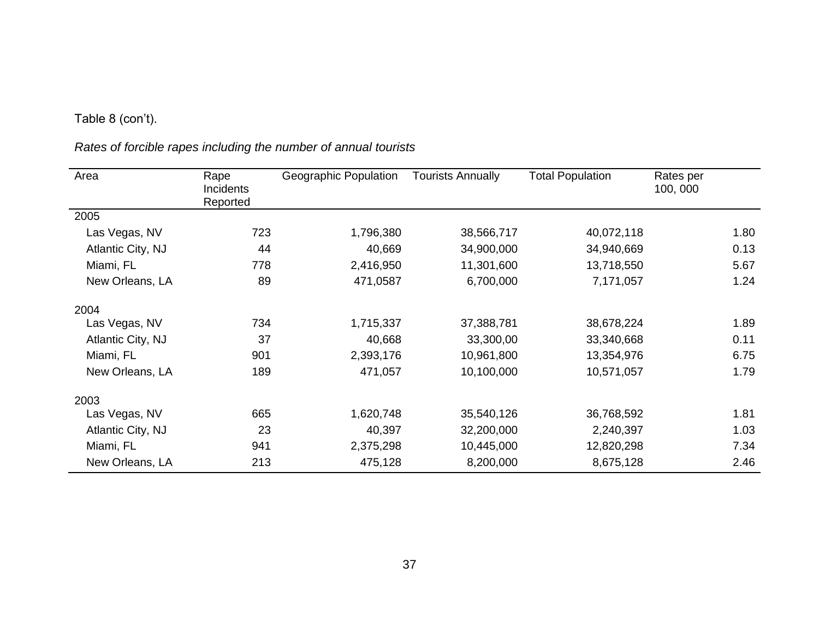# Table 8 (con't).

*Rates of forcible rapes including the number of annual tourists* 

| Area              | Rape<br>Incidents<br>Reported | Geographic Population | <b>Tourists Annually</b> | <b>Total Population</b> | Rates per<br>100, 000 |
|-------------------|-------------------------------|-----------------------|--------------------------|-------------------------|-----------------------|
| 2005              |                               |                       |                          |                         |                       |
| Las Vegas, NV     | 723                           | 1,796,380             | 38,566,717               | 40,072,118              | 1.80                  |
| Atlantic City, NJ | 44                            | 40,669                | 34,900,000               | 34,940,669              | 0.13                  |
| Miami, FL         | 778                           | 2,416,950             | 11,301,600               | 13,718,550              | 5.67                  |
| New Orleans, LA   | 89                            | 471,0587              | 6,700,000                | 7,171,057               | 1.24                  |
| 2004              |                               |                       |                          |                         |                       |
| Las Vegas, NV     | 734                           | 1,715,337             | 37,388,781               | 38,678,224              | 1.89                  |
| Atlantic City, NJ | 37                            | 40,668                | 33,300,00                | 33,340,668              | 0.11                  |
| Miami, FL         | 901                           | 2,393,176             | 10,961,800               | 13,354,976              | 6.75                  |
| New Orleans, LA   | 189                           | 471,057               | 10,100,000               | 10,571,057              | 1.79                  |
| 2003              |                               |                       |                          |                         |                       |
| Las Vegas, NV     | 665                           | 1,620,748             | 35,540,126               | 36,768,592              | 1.81                  |
| Atlantic City, NJ | 23                            | 40,397                | 32,200,000               | 2,240,397               | 1.03                  |
| Miami, FL         | 941                           | 2,375,298             | 10,445,000               | 12,820,298              | 7.34                  |
| New Orleans, LA   | 213                           | 475,128               | 8,200,000                | 8,675,128               | 2.46                  |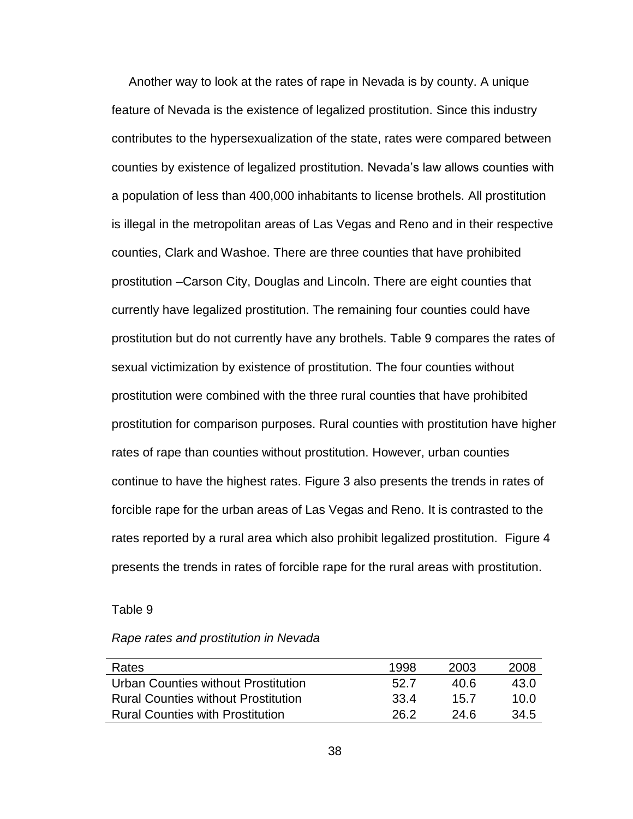Another way to look at the rates of rape in Nevada is by county. A unique feature of Nevada is the existence of legalized prostitution. Since this industry contributes to the hypersexualization of the state, rates were compared between counties by existence of legalized prostitution. Nevada"s law allows counties with a population of less than 400,000 inhabitants to license brothels. All prostitution is illegal in the metropolitan areas of Las Vegas and Reno and in their respective counties, Clark and Washoe. There are three counties that have prohibited prostitution –Carson City, Douglas and Lincoln. There are eight counties that currently have legalized prostitution. The remaining four counties could have prostitution but do not currently have any brothels. Table 9 compares the rates of sexual victimization by existence of prostitution. The four counties without prostitution were combined with the three rural counties that have prohibited prostitution for comparison purposes. Rural counties with prostitution have higher rates of rape than counties without prostitution. However, urban counties continue to have the highest rates. Figure 3 also presents the trends in rates of forcible rape for the urban areas of Las Vegas and Reno. It is contrasted to the rates reported by a rural area which also prohibit legalized prostitution. Figure 4 presents the trends in rates of forcible rape for the rural areas with prostitution.

#### Table 9

| Rape rates and prostitution in Nevada |  |  |  |
|---------------------------------------|--|--|--|
|---------------------------------------|--|--|--|

| Rates                                      | 1998  | 2003 | 2008 |
|--------------------------------------------|-------|------|------|
| Urban Counties without Prostitution        | 52.7  | 40 R | 43.0 |
| <b>Rural Counties without Prostitution</b> | .33 4 | 15.7 | 10.0 |
| <b>Rural Counties with Prostitution</b>    | 26.2  | 24 R | 34.5 |
|                                            |       |      |      |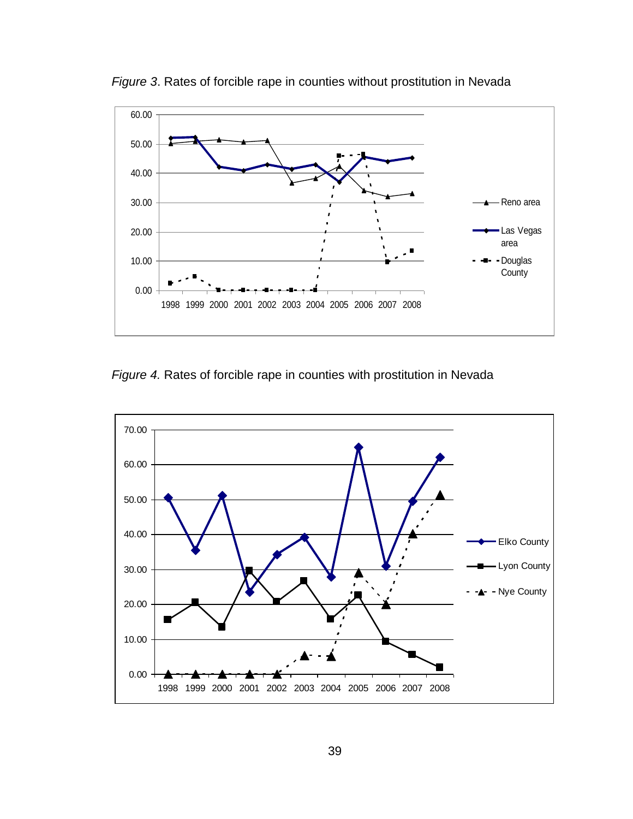

*Figure 3*. Rates of forcible rape in counties without prostitution in Nevada

*Figure 4.* Rates of forcible rape in counties with prostitution in Nevada

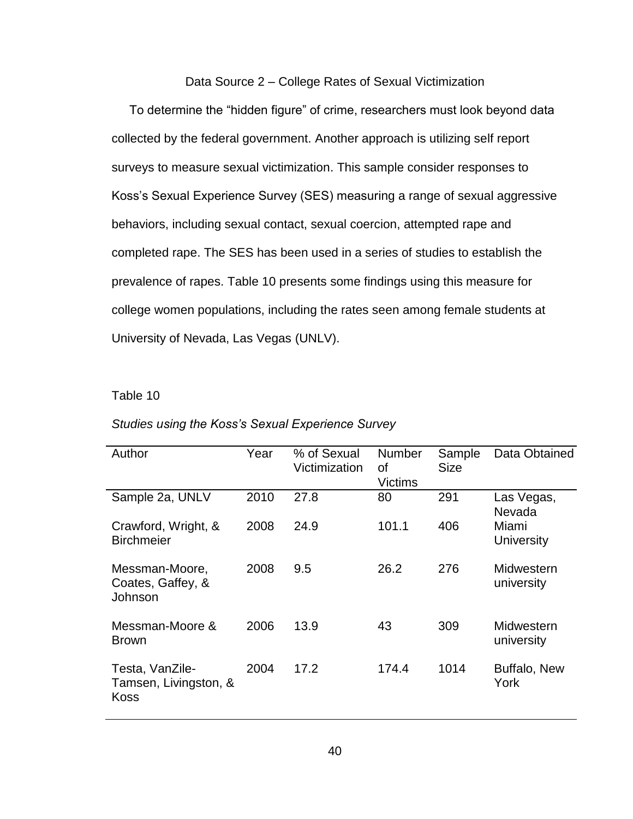#### Data Source 2 – College Rates of Sexual Victimization

To determine the "hidden figure" of crime, researchers must look beyond data collected by the federal government. Another approach is utilizing self report surveys to measure sexual victimization. This sample consider responses to Koss"s Sexual Experience Survey (SES) measuring a range of sexual aggressive behaviors, including sexual contact, sexual coercion, attempted rape and completed rape. The SES has been used in a series of studies to establish the prevalence of rapes. Table 10 presents some findings using this measure for college women populations, including the rates seen among female students at University of Nevada, Las Vegas (UNLV).

### Table 10

| Author                                                  | Year | % of Sexual<br>Victimization | <b>Number</b><br>οf<br>Victims | Sample<br><b>Size</b> | Data Obtained            |
|---------------------------------------------------------|------|------------------------------|--------------------------------|-----------------------|--------------------------|
| Sample 2a, UNLV                                         | 2010 | 27.8                         | 80                             | 291                   | Las Vegas,<br>Nevada     |
| Crawford, Wright, &<br><b>Birchmeier</b>                | 2008 | 24.9                         | 101.1                          | 406                   | Miami<br>University      |
| Messman-Moore,<br>Coates, Gaffey, &<br>Johnson          | 2008 | 9.5                          | 26.2                           | 276                   | Midwestern<br>university |
| Messman-Moore &<br><b>Brown</b>                         | 2006 | 13.9                         | 43                             | 309                   | Midwestern<br>university |
| Testa, VanZile-<br>Tamsen, Livingston, &<br><b>Koss</b> | 2004 | 17.2                         | 174.4                          | 1014                  | Buffalo, New<br>York     |

## *Studies using the Koss's Sexual Experience Survey*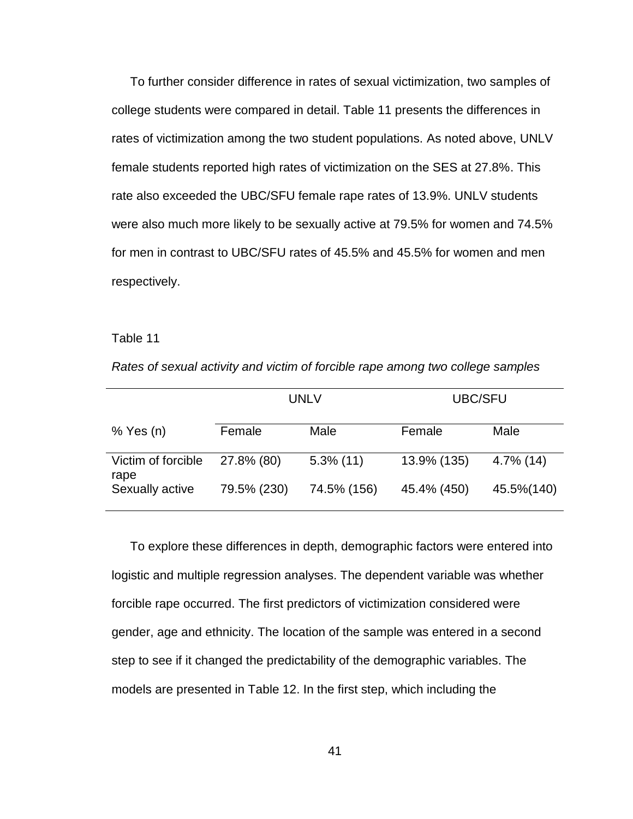To further consider difference in rates of sexual victimization, two samples of college students were compared in detail. Table 11 presents the differences in rates of victimization among the two student populations. As noted above, UNLV female students reported high rates of victimization on the SES at 27.8%. This rate also exceeded the UBC/SFU female rape rates of 13.9%. UNLV students were also much more likely to be sexually active at 79.5% for women and 74.5% for men in contrast to UBC/SFU rates of 45.5% and 45.5% for women and men respectively.

# Table 11

|                            | <b>UNLV</b> |              | <b>UBC/SFU</b> |              |
|----------------------------|-------------|--------------|----------------|--------------|
| $%$ Yes (n)                | Female      | Male         | Female         | Male         |
| Victim of forcible<br>rape | 27.8% (80)  | $5.3\%$ (11) | 13.9% (135)    | $4.7\%$ (14) |
| Sexually active            | 79.5% (230) | 74.5% (156)  | 45.4% (450)    | 45.5%(140)   |

*Rates of sexual activity and victim of forcible rape among two college samples*

To explore these differences in depth, demographic factors were entered into logistic and multiple regression analyses. The dependent variable was whether forcible rape occurred. The first predictors of victimization considered were gender, age and ethnicity. The location of the sample was entered in a second step to see if it changed the predictability of the demographic variables. The models are presented in Table 12. In the first step, which including the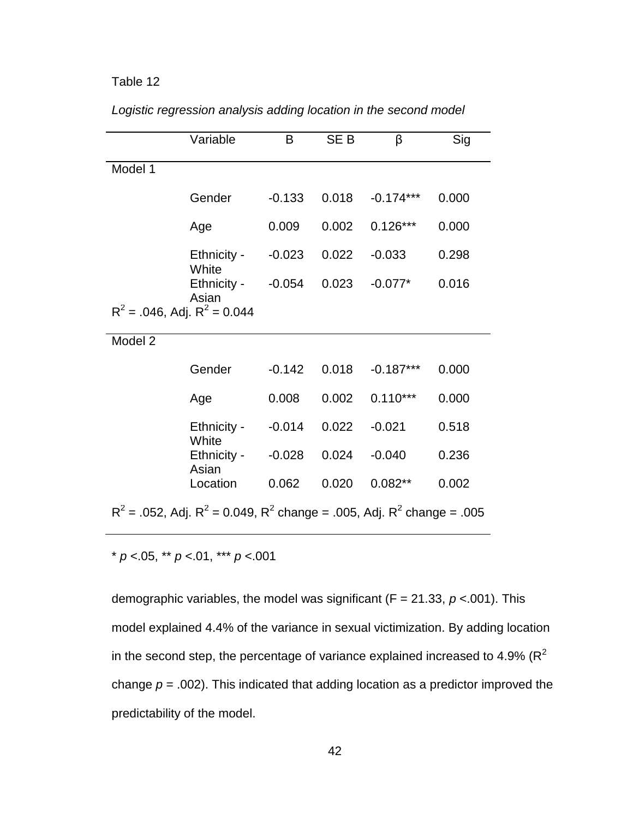|                                                                                 | Variable             | B        | SE <sub>B</sub> | β           | Sig   |  |
|---------------------------------------------------------------------------------|----------------------|----------|-----------------|-------------|-------|--|
| Model 1                                                                         |                      |          |                 |             |       |  |
|                                                                                 | Gender               | $-0.133$ | 0.018           | $-0.174***$ | 0.000 |  |
|                                                                                 | Age                  | 0.009    | 0.002           | $0.126***$  | 0.000 |  |
|                                                                                 | Ethnicity -<br>White | $-0.023$ | 0.022           | $-0.033$    | 0.298 |  |
|                                                                                 | Ethnicity -<br>Asian | $-0.054$ | 0.023           | $-0.077*$   | 0.016 |  |
| $R^2$ = .046, Adj. $R^2$ = 0.044                                                |                      |          |                 |             |       |  |
| Model 2                                                                         |                      |          |                 |             |       |  |
|                                                                                 | Gender               | $-0.142$ | 0.018           | $-0.187***$ | 0.000 |  |
|                                                                                 | Age                  | 0.008    | 0.002           | $0.110***$  | 0.000 |  |
|                                                                                 | Ethnicity -<br>White | $-0.014$ | 0.022           | $-0.021$    | 0.518 |  |
|                                                                                 | Ethnicity -<br>Asian | $-0.028$ | 0.024           | $-0.040$    | 0.236 |  |
|                                                                                 | Location             | 0.062    | 0.020           | $0.082**$   | 0.002 |  |
| $R^2$ = .052, Adj. $R^2$ = 0.049, $R^2$ change = .005, Adj. $R^2$ change = .005 |                      |          |                 |             |       |  |

*Logistic regression analysis adding location in the second model*

\* *p* <.05, \*\* *p* <.01, \*\*\* *p* <.001

demographic variables, the model was significant (F = 21.33, *p* <.001). This model explained 4.4% of the variance in sexual victimization. By adding location in the second step, the percentage of variance explained increased to 4.9% ( $R^2$ change  $p = .002$ ). This indicated that adding location as a predictor improved the predictability of the model.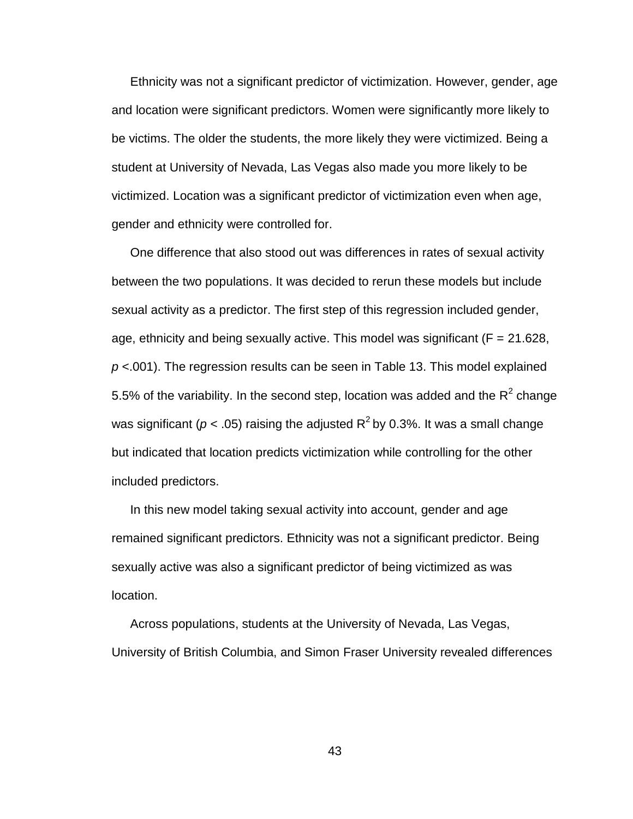Ethnicity was not a significant predictor of victimization. However, gender, age and location were significant predictors. Women were significantly more likely to be victims. The older the students, the more likely they were victimized. Being a student at University of Nevada, Las Vegas also made you more likely to be victimized. Location was a significant predictor of victimization even when age, gender and ethnicity were controlled for.

One difference that also stood out was differences in rates of sexual activity between the two populations. It was decided to rerun these models but include sexual activity as a predictor. The first step of this regression included gender, age, ethnicity and being sexually active. This model was significant ( $F = 21.628$ , *p* <.001). The regression results can be seen in Table 13. This model explained 5.5% of the variability. In the second step, location was added and the  $R^2$  change was significant ( $p$  < .05) raising the adjusted R<sup>2</sup> by 0.3%. It was a small change but indicated that location predicts victimization while controlling for the other included predictors.

In this new model taking sexual activity into account, gender and age remained significant predictors. Ethnicity was not a significant predictor. Being sexually active was also a significant predictor of being victimized as was location.

Across populations, students at the University of Nevada, Las Vegas, University of British Columbia, and Simon Fraser University revealed differences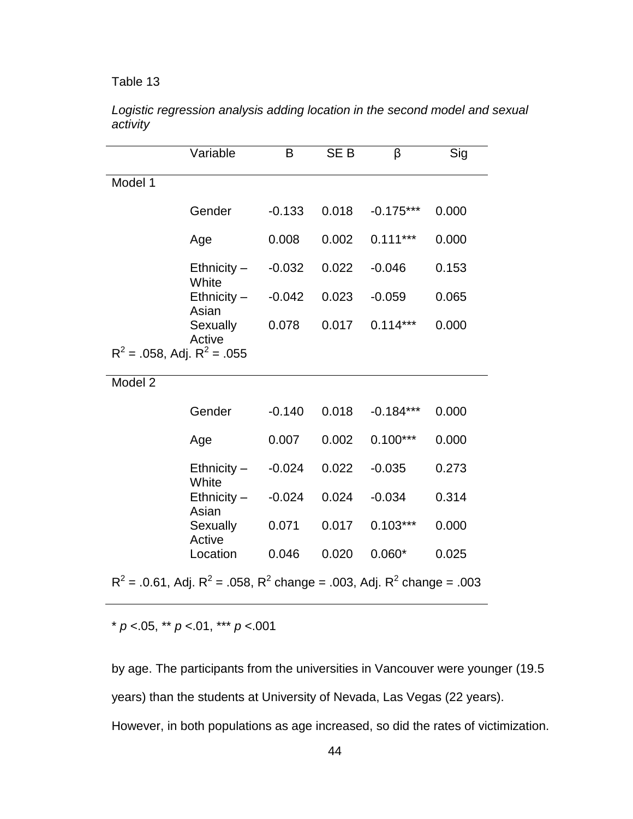|                                                                                 | Variable                  | B        | SE <sub>B</sub> | β           | Sig   |  |  |
|---------------------------------------------------------------------------------|---------------------------|----------|-----------------|-------------|-------|--|--|
| Model 1                                                                         |                           |          |                 |             |       |  |  |
|                                                                                 | Gender                    | $-0.133$ | 0.018           | $-0.175***$ | 0.000 |  |  |
|                                                                                 | Age                       | 0.008    | 0.002           | $0.111***$  | 0.000 |  |  |
|                                                                                 | $E$ thnicity $-$<br>White | $-0.032$ | 0.022           | $-0.046$    | 0.153 |  |  |
|                                                                                 | $Ethnicity -$<br>Asian    | $-0.042$ | 0.023           | $-0.059$    | 0.065 |  |  |
|                                                                                 | Sexually                  | 0.078    | 0.017           | $0.114***$  | 0.000 |  |  |
| Active<br>$R^2$ = .058, Adj. $R^2$ = .055                                       |                           |          |                 |             |       |  |  |
| Model 2                                                                         |                           |          |                 |             |       |  |  |
|                                                                                 | Gender                    | $-0.140$ | 0.018           | $-0.184***$ | 0.000 |  |  |
|                                                                                 | Age                       | 0.007    | 0.002           | $0.100***$  | 0.000 |  |  |
|                                                                                 | $E$ thnicity $-$          | $-0.024$ | 0.022           | $-0.035$    | 0.273 |  |  |
|                                                                                 | White<br>$E$ thnicity $-$ | $-0.024$ | 0.024           | $-0.034$    | 0.314 |  |  |
|                                                                                 | Asian<br>Sexually         | 0.071    | 0.017           | $0.103***$  | 0.000 |  |  |
|                                                                                 | Active<br>Location        | 0.046    | 0.020           | $0.060*$    | 0.025 |  |  |
| $R^2$ = .0.61, Adj. $R^2$ = .058, $R^2$ change = .003, Adj. $R^2$ change = .003 |                           |          |                 |             |       |  |  |

*Logistic regression analysis adding location in the second model and sexual activity*

\* *p* <.05, \*\* *p* <.01, \*\*\* *p* <.001

by age. The participants from the universities in Vancouver were younger (19.5 years) than the students at University of Nevada, Las Vegas (22 years). However, in both populations as age increased, so did the rates of victimization.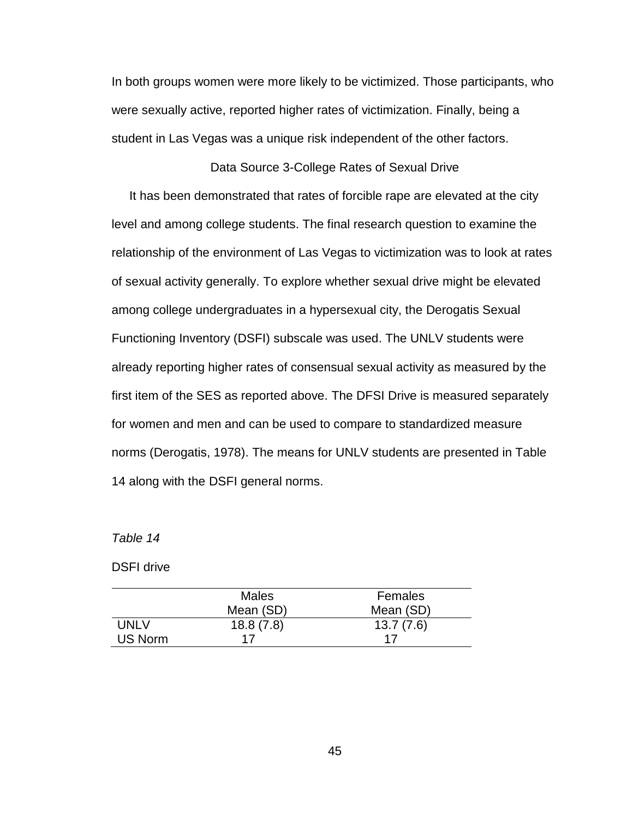In both groups women were more likely to be victimized. Those participants, who were sexually active, reported higher rates of victimization. Finally, being a student in Las Vegas was a unique risk independent of the other factors.

#### Data Source 3-College Rates of Sexual Drive

It has been demonstrated that rates of forcible rape are elevated at the city level and among college students. The final research question to examine the relationship of the environment of Las Vegas to victimization was to look at rates of sexual activity generally. To explore whether sexual drive might be elevated among college undergraduates in a hypersexual city, the Derogatis Sexual Functioning Inventory (DSFI) subscale was used. The UNLV students were already reporting higher rates of consensual sexual activity as measured by the first item of the SES as reported above. The DFSI Drive is measured separately for women and men and can be used to compare to standardized measure norms (Derogatis, 1978). The means for UNLV students are presented in Table 14 along with the DSFI general norms.

#### *Table 14*

DSFI drive

|         | <b>Males</b> | Females   |
|---------|--------------|-----------|
|         | Mean (SD)    | Mean (SD) |
| UNI V   | 18.8(7.8)    | 13.7(7.6) |
| US Norm | 17           | -17       |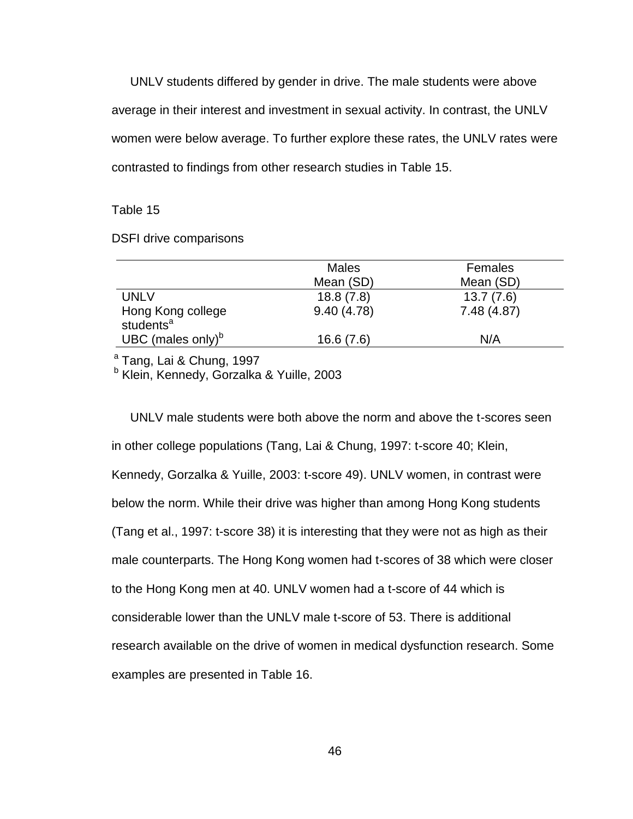UNLV students differed by gender in drive. The male students were above average in their interest and investment in sexual activity. In contrast, the UNLV women were below average. To further explore these rates, the UNLV rates were contrasted to findings from other research studies in Table 15.

#### Table 15

DSFI drive comparisons

|                                            | <b>Males</b> | Females    |
|--------------------------------------------|--------------|------------|
|                                            | Mean (SD)    | Mean (SD)  |
| <b>UNLV</b>                                | 18.8(7.8)    | 13.7(7.6)  |
| Hong Kong college<br>students <sup>a</sup> | 9.40(4.78)   | 7.48(4.87) |
| UBC (males only) $b$                       | 16.6(7.6)    | N/A        |

<sup>a</sup> Tang, Lai & Chung, 1997

<sup>b</sup> Klein, Kennedy, Gorzalka & Yuille, 2003

UNLV male students were both above the norm and above the t-scores seen in other college populations (Tang, Lai & Chung, 1997: t-score 40; Klein, Kennedy, Gorzalka & Yuille, 2003: t-score 49). UNLV women, in contrast were below the norm. While their drive was higher than among Hong Kong students (Tang et al., 1997: t-score 38) it is interesting that they were not as high as their male counterparts. The Hong Kong women had t-scores of 38 which were closer to the Hong Kong men at 40. UNLV women had a t-score of 44 which is considerable lower than the UNLV male t-score of 53. There is additional research available on the drive of women in medical dysfunction research. Some examples are presented in Table 16.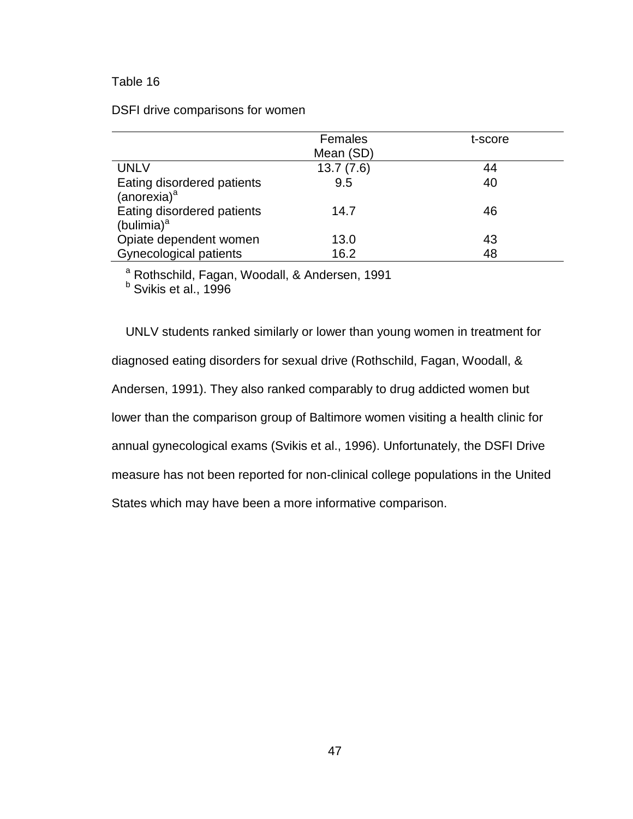|                                                       | Females   | t-score |
|-------------------------------------------------------|-----------|---------|
|                                                       | Mean (SD) |         |
| <b>UNLV</b>                                           | 13.7(7.6) | 44      |
| Eating disordered patients<br>(anorexia) <sup>a</sup> | 9.5       | 40      |
| Eating disordered patients<br>(bulimia) <sup>a</sup>  | 14.7      | 46      |
| Opiate dependent women                                | 13.0      | 43      |
| Gynecological patients                                | 16.2      | 48      |

DSFI drive comparisons for women

<sup>a</sup> Rothschild, Fagan, Woodall, & Andersen, 1991

<sup>b</sup> Svikis et al., 1996

UNLV students ranked similarly or lower than young women in treatment for diagnosed eating disorders for sexual drive (Rothschild, Fagan, Woodall, & Andersen, 1991). They also ranked comparably to drug addicted women but lower than the comparison group of Baltimore women visiting a health clinic for annual gynecological exams (Svikis et al., 1996). Unfortunately, the DSFI Drive measure has not been reported for non-clinical college populations in the United States which may have been a more informative comparison.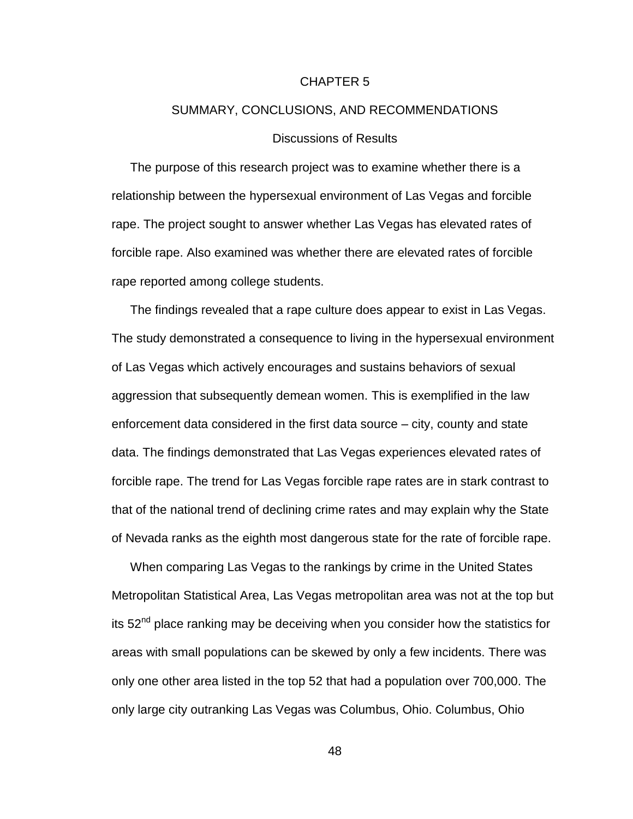#### CHAPTER 5

# SUMMARY, CONCLUSIONS, AND RECOMMENDATIONS

## Discussions of Results

The purpose of this research project was to examine whether there is a relationship between the hypersexual environment of Las Vegas and forcible rape. The project sought to answer whether Las Vegas has elevated rates of forcible rape. Also examined was whether there are elevated rates of forcible rape reported among college students.

The findings revealed that a rape culture does appear to exist in Las Vegas. The study demonstrated a consequence to living in the hypersexual environment of Las Vegas which actively encourages and sustains behaviors of sexual aggression that subsequently demean women. This is exemplified in the law enforcement data considered in the first data source – city, county and state data. The findings demonstrated that Las Vegas experiences elevated rates of forcible rape. The trend for Las Vegas forcible rape rates are in stark contrast to that of the national trend of declining crime rates and may explain why the State of Nevada ranks as the eighth most dangerous state for the rate of forcible rape.

When comparing Las Vegas to the rankings by crime in the United States Metropolitan Statistical Area, Las Vegas metropolitan area was not at the top but its  $52<sup>nd</sup>$  place ranking may be deceiving when you consider how the statistics for areas with small populations can be skewed by only a few incidents. There was only one other area listed in the top 52 that had a population over 700,000. The only large city outranking Las Vegas was Columbus, Ohio. Columbus, Ohio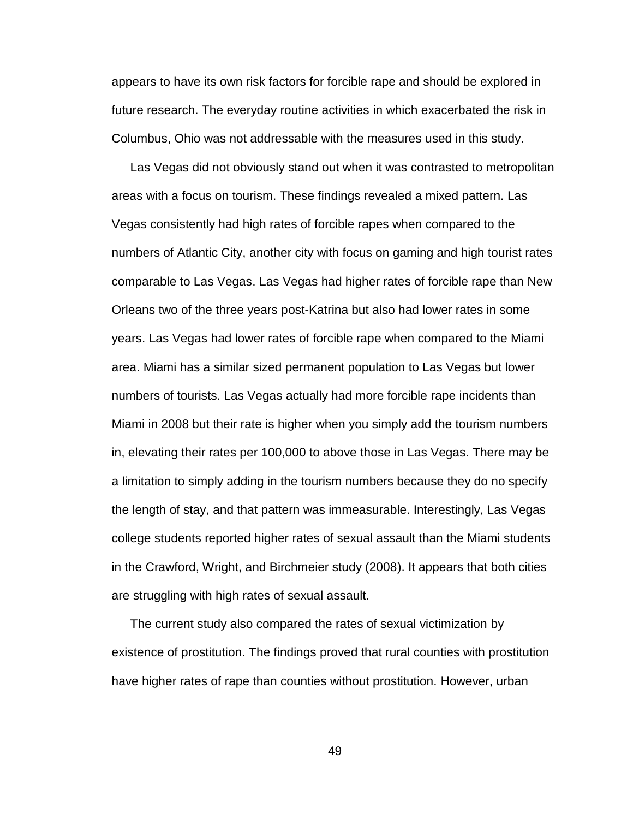appears to have its own risk factors for forcible rape and should be explored in future research. The everyday routine activities in which exacerbated the risk in Columbus, Ohio was not addressable with the measures used in this study.

Las Vegas did not obviously stand out when it was contrasted to metropolitan areas with a focus on tourism. These findings revealed a mixed pattern. Las Vegas consistently had high rates of forcible rapes when compared to the numbers of Atlantic City, another city with focus on gaming and high tourist rates comparable to Las Vegas. Las Vegas had higher rates of forcible rape than New Orleans two of the three years post-Katrina but also had lower rates in some years. Las Vegas had lower rates of forcible rape when compared to the Miami area. Miami has a similar sized permanent population to Las Vegas but lower numbers of tourists. Las Vegas actually had more forcible rape incidents than Miami in 2008 but their rate is higher when you simply add the tourism numbers in, elevating their rates per 100,000 to above those in Las Vegas. There may be a limitation to simply adding in the tourism numbers because they do no specify the length of stay, and that pattern was immeasurable. Interestingly, Las Vegas college students reported higher rates of sexual assault than the Miami students in the Crawford, Wright, and Birchmeier study (2008). It appears that both cities are struggling with high rates of sexual assault.

The current study also compared the rates of sexual victimization by existence of prostitution. The findings proved that rural counties with prostitution have higher rates of rape than counties without prostitution. However, urban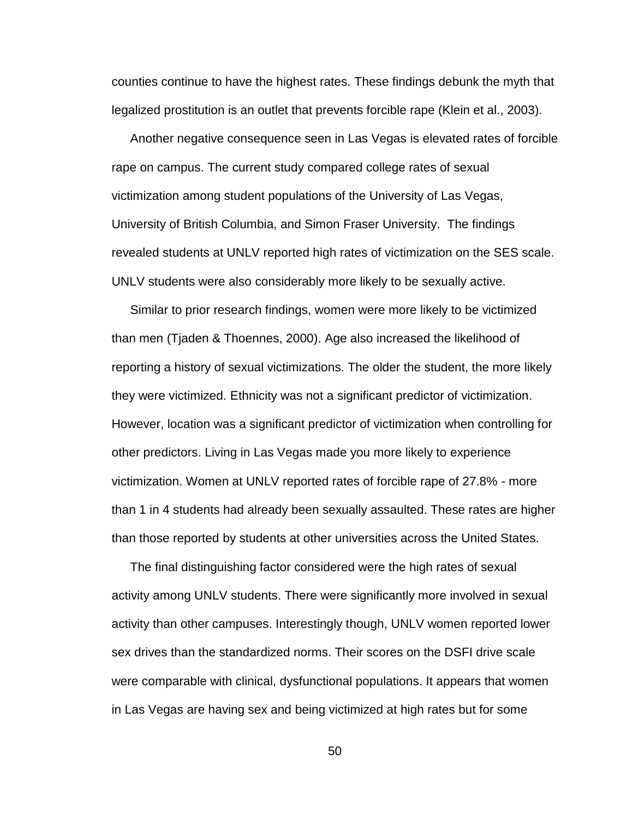counties continue to have the highest rates. These findings debunk the myth that legalized prostitution is an outlet that prevents forcible rape (Klein et al., 2003).

Another negative consequence seen in Las Vegas is elevated rates of forcible rape on campus. The current study compared college rates of sexual victimization among student populations of the University of Las Vegas, University of British Columbia, and Simon Fraser University. The findings revealed students at UNLV reported high rates of victimization on the SES scale. UNLV students were also considerably more likely to be sexually active.

Similar to prior research findings, women were more likely to be victimized than men (Tjaden & Thoennes, 2000). Age also increased the likelihood of reporting a history of sexual victimizations. The older the student, the more likely they were victimized. Ethnicity was not a significant predictor of victimization. However, location was a significant predictor of victimization when controlling for other predictors. Living in Las Vegas made you more likely to experience victimization. Women at UNLV reported rates of forcible rape of 27.8% - more than 1 in 4 students had already been sexually assaulted. These rates are higher than those reported by students at other universities across the United States.

The final distinguishing factor considered were the high rates of sexual activity among UNLV students. There were significantly more involved in sexual activity than other campuses. Interestingly though, UNLV women reported lower sex drives than the standardized norms. Their scores on the DSFI drive scale were comparable with clinical, dysfunctional populations. It appears that women in Las Vegas are having sex and being victimized at high rates but for some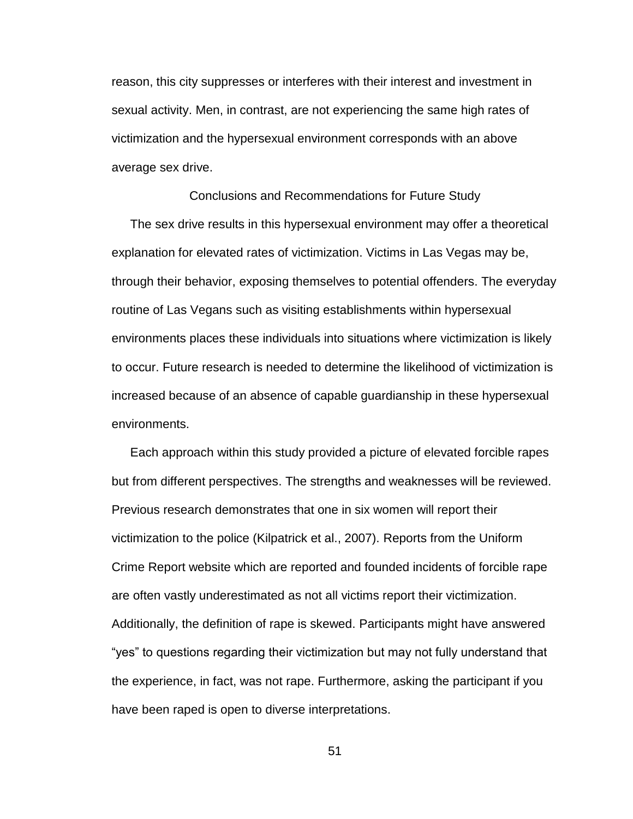reason, this city suppresses or interferes with their interest and investment in sexual activity. Men, in contrast, are not experiencing the same high rates of victimization and the hypersexual environment corresponds with an above average sex drive.

Conclusions and Recommendations for Future Study

The sex drive results in this hypersexual environment may offer a theoretical explanation for elevated rates of victimization. Victims in Las Vegas may be, through their behavior, exposing themselves to potential offenders. The everyday routine of Las Vegans such as visiting establishments within hypersexual environments places these individuals into situations where victimization is likely to occur. Future research is needed to determine the likelihood of victimization is increased because of an absence of capable guardianship in these hypersexual environments.

Each approach within this study provided a picture of elevated forcible rapes but from different perspectives. The strengths and weaknesses will be reviewed. Previous research demonstrates that one in six women will report their victimization to the police (Kilpatrick et al., 2007). Reports from the Uniform Crime Report website which are reported and founded incidents of forcible rape are often vastly underestimated as not all victims report their victimization. Additionally, the definition of rape is skewed. Participants might have answered "yes" to questions regarding their victimization but may not fully understand that the experience, in fact, was not rape. Furthermore, asking the participant if you have been raped is open to diverse interpretations.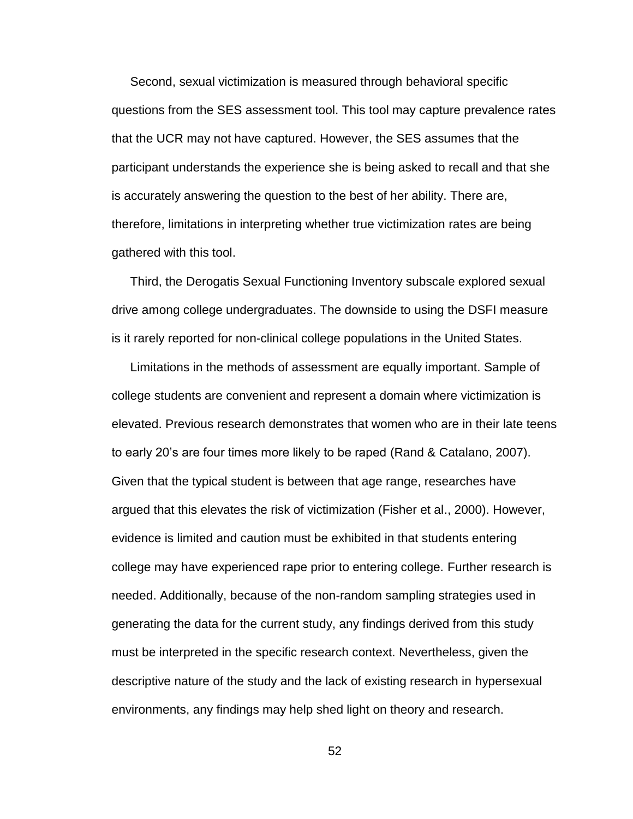Second, sexual victimization is measured through behavioral specific questions from the SES assessment tool. This tool may capture prevalence rates that the UCR may not have captured. However, the SES assumes that the participant understands the experience she is being asked to recall and that she is accurately answering the question to the best of her ability. There are, therefore, limitations in interpreting whether true victimization rates are being gathered with this tool.

Third, the Derogatis Sexual Functioning Inventory subscale explored sexual drive among college undergraduates. The downside to using the DSFI measure is it rarely reported for non-clinical college populations in the United States.

Limitations in the methods of assessment are equally important. Sample of college students are convenient and represent a domain where victimization is elevated. Previous research demonstrates that women who are in their late teens to early 20"s are four times more likely to be raped (Rand & Catalano, 2007). Given that the typical student is between that age range, researches have argued that this elevates the risk of victimization (Fisher et al., 2000). However, evidence is limited and caution must be exhibited in that students entering college may have experienced rape prior to entering college. Further research is needed. Additionally, because of the non-random sampling strategies used in generating the data for the current study, any findings derived from this study must be interpreted in the specific research context. Nevertheless, given the descriptive nature of the study and the lack of existing research in hypersexual environments, any findings may help shed light on theory and research.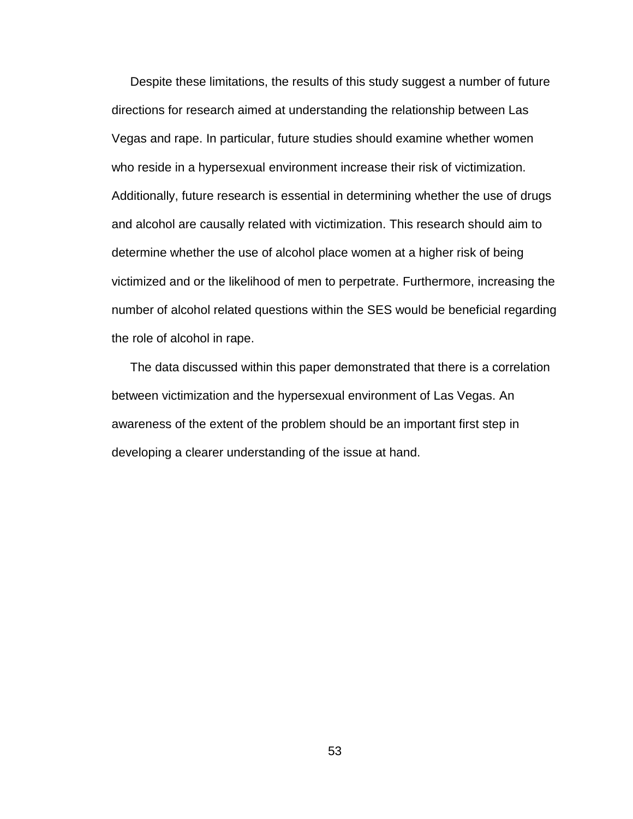Despite these limitations, the results of this study suggest a number of future directions for research aimed at understanding the relationship between Las Vegas and rape. In particular, future studies should examine whether women who reside in a hypersexual environment increase their risk of victimization. Additionally, future research is essential in determining whether the use of drugs and alcohol are causally related with victimization. This research should aim to determine whether the use of alcohol place women at a higher risk of being victimized and or the likelihood of men to perpetrate. Furthermore, increasing the number of alcohol related questions within the SES would be beneficial regarding the role of alcohol in rape.

The data discussed within this paper demonstrated that there is a correlation between victimization and the hypersexual environment of Las Vegas. An awareness of the extent of the problem should be an important first step in developing a clearer understanding of the issue at hand.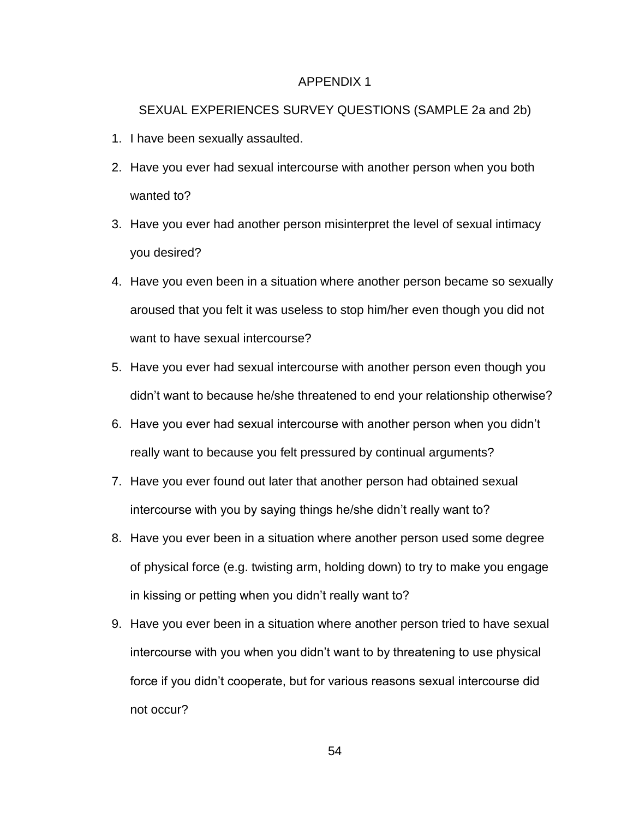#### APPENDIX 1

## SEXUAL EXPERIENCES SURVEY QUESTIONS (SAMPLE 2a and 2b)

- 1. I have been sexually assaulted.
- 2. Have you ever had sexual intercourse with another person when you both wanted to?
- 3. Have you ever had another person misinterpret the level of sexual intimacy you desired?
- 4. Have you even been in a situation where another person became so sexually aroused that you felt it was useless to stop him/her even though you did not want to have sexual intercourse?
- 5. Have you ever had sexual intercourse with another person even though you didn"t want to because he/she threatened to end your relationship otherwise?
- 6. Have you ever had sexual intercourse with another person when you didn"t really want to because you felt pressured by continual arguments?
- 7. Have you ever found out later that another person had obtained sexual intercourse with you by saying things he/she didn"t really want to?
- 8. Have you ever been in a situation where another person used some degree of physical force (e.g. twisting arm, holding down) to try to make you engage in kissing or petting when you didn"t really want to?
- 9. Have you ever been in a situation where another person tried to have sexual intercourse with you when you didn"t want to by threatening to use physical force if you didn"t cooperate, but for various reasons sexual intercourse did not occur?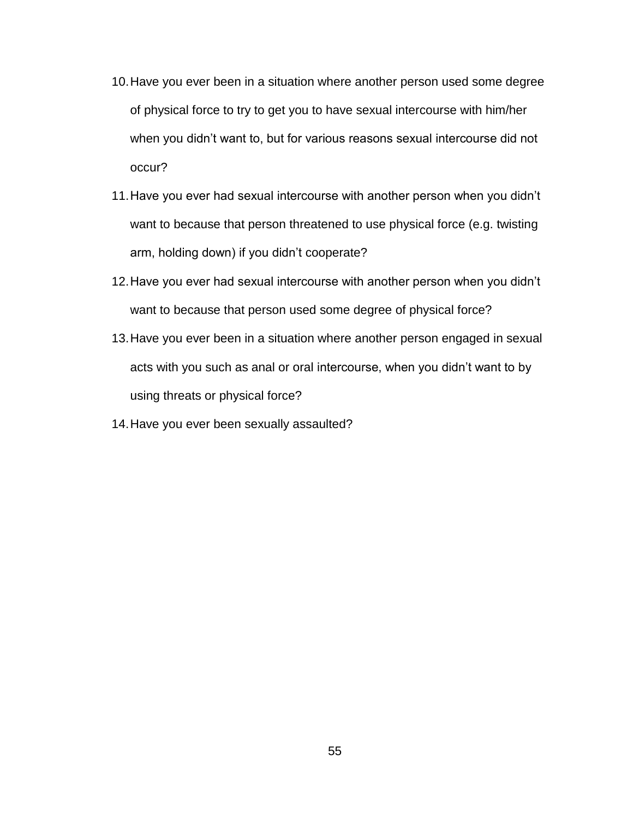- 10.Have you ever been in a situation where another person used some degree of physical force to try to get you to have sexual intercourse with him/her when you didn"t want to, but for various reasons sexual intercourse did not occur?
- 11.Have you ever had sexual intercourse with another person when you didn"t want to because that person threatened to use physical force (e.g. twisting arm, holding down) if you didn't cooperate?
- 12.Have you ever had sexual intercourse with another person when you didn"t want to because that person used some degree of physical force?
- 13.Have you ever been in a situation where another person engaged in sexual acts with you such as anal or oral intercourse, when you didn"t want to by using threats or physical force?
- 14.Have you ever been sexually assaulted?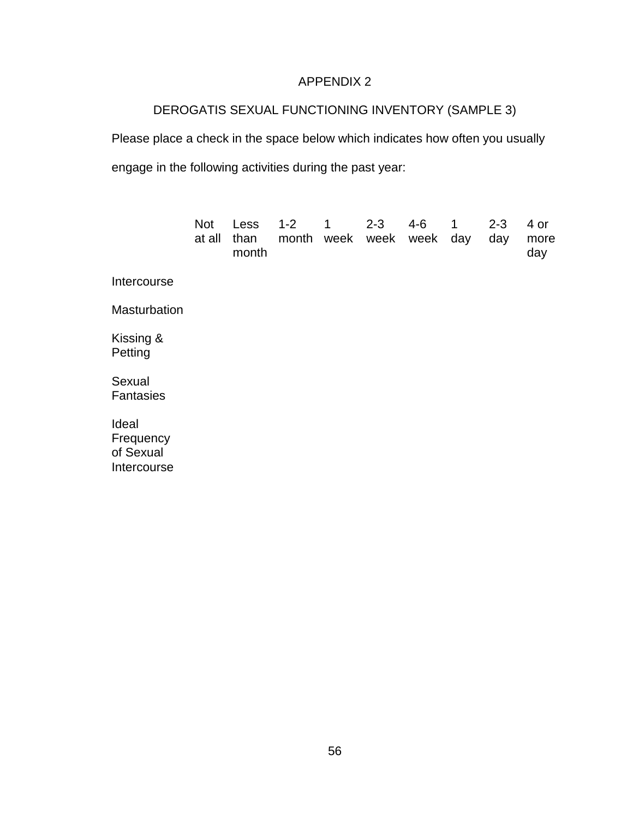# APPENDIX 2

# DEROGATIS SEXUAL FUNCTIONING INVENTORY (SAMPLE 3)

Please place a check in the space below which indicates how often you usually engage in the following activities during the past year:

|                                                | <b>Not</b><br>at all | Less<br>than<br>month | $1 - 2$<br>month | $\overline{1}$<br>week | $2 - 3$<br>week | 4-6<br>week | $\mathbf 1$<br>day | $2 - 3$<br>day | 4 or<br>more<br>day |
|------------------------------------------------|----------------------|-----------------------|------------------|------------------------|-----------------|-------------|--------------------|----------------|---------------------|
| Intercourse                                    |                      |                       |                  |                        |                 |             |                    |                |                     |
| <b>Masturbation</b>                            |                      |                       |                  |                        |                 |             |                    |                |                     |
| Kissing &<br>Petting                           |                      |                       |                  |                        |                 |             |                    |                |                     |
| Sexual<br><b>Fantasies</b>                     |                      |                       |                  |                        |                 |             |                    |                |                     |
| Ideal<br>Frequency<br>of Sexual<br>Intercourse |                      |                       |                  |                        |                 |             |                    |                |                     |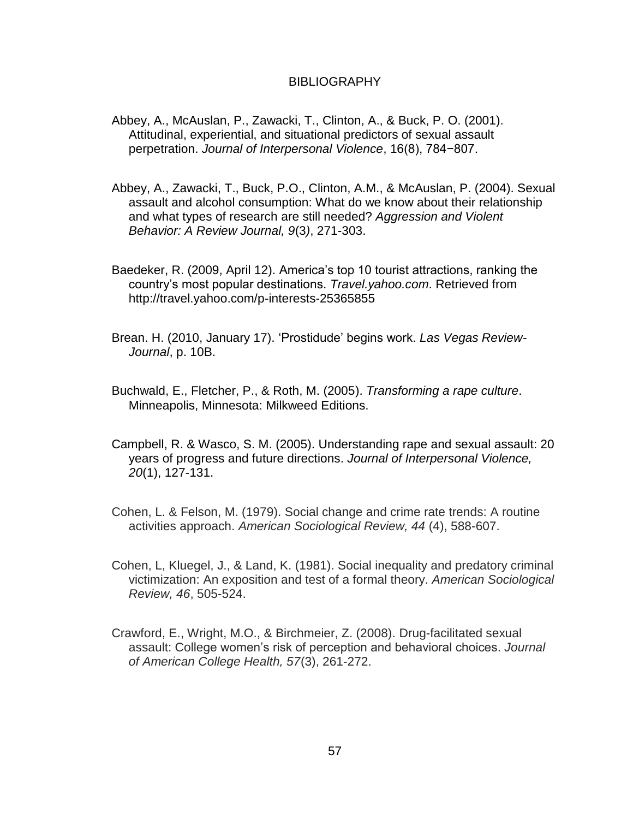## **BIBLIOGRAPHY**

- Abbey, A., McAuslan, P., Zawacki, T., Clinton, A., & Buck, P. O. (2001). Attitudinal, experiential, and situational predictors of sexual assault perpetration. *Journal of Interpersonal Violence*, 16(8), 784−807.
- Abbey, A., Zawacki, T., Buck, P.O., Clinton, A.M., & McAuslan, P. (2004). Sexual assault and alcohol consumption: What do we know about their relationship and what types of research are still needed? *Aggression and Violent Behavior: A Review Journal, 9*(3*)*, 271-303.
- Baedeker, R. (2009, April 12). America"s top 10 tourist attractions, ranking the country"s most popular destinations. *Travel.yahoo.com*. Retrieved from http://travel.yahoo.com/p-interests-25365855
- Brean. H. (2010, January 17). "Prostidude" begins work. *Las Vegas Review-Journal*, p. 10B.
- Buchwald, E., Fletcher, P., & Roth, M. (2005). *Transforming a rape culture*. Minneapolis, Minnesota: Milkweed Editions.
- Campbell, R. & Wasco, S. M. (2005). Understanding rape and sexual assault: 20 years of progress and future directions. *Journal of Interpersonal Violence, 20*(1), 127-131.
- Cohen, L. & Felson, M. (1979). Social change and crime rate trends: A routine activities approach. *American Sociological Review, 44* (4), 588-607.
- Cohen, L, Kluegel, J., & Land, K. (1981). Social inequality and predatory criminal victimization: An exposition and test of a formal theory. *American Sociological Review, 46*, 505-524.
- Crawford, E., Wright, M.O., & Birchmeier, Z. (2008). Drug-facilitated sexual assault: College women"s risk of perception and behavioral choices. *Journal of American College Health, 57*(3), 261-272.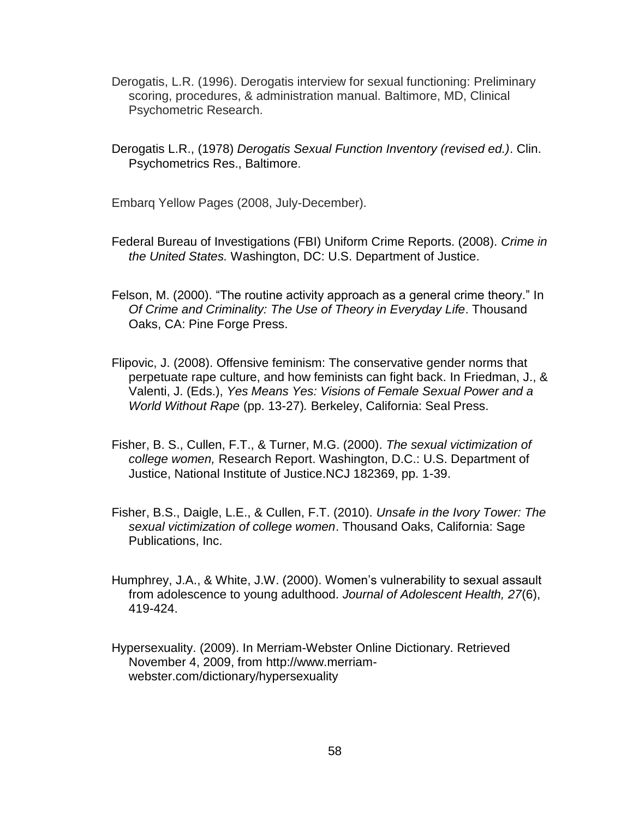- Derogatis, L.R. (1996). Derogatis interview for sexual functioning: Preliminary scoring, procedures, & administration manual. Baltimore, MD, Clinical Psychometric Research.
- Derogatis L.R., (1978) *Derogatis Sexual Function Inventory (revised ed.)*. Clin. Psychometrics Res., Baltimore.
- Embarq Yellow Pages (2008, July-December).
- Federal Bureau of Investigations (FBI) Uniform Crime Reports. (2008). *Crime in the United States.* Washington, DC: U.S. Department of Justice.
- Felson, M. (2000). "The routine activity approach as a general crime theory." In *Of Crime and Criminality: The Use of Theory in Everyday Life*. Thousand Oaks, CA: Pine Forge Press.
- Flipovic, J. (2008). Offensive feminism: The conservative gender norms that perpetuate rape culture, and how feminists can fight back. In Friedman, J., & Valenti, J. (Eds.), *Yes Means Yes: Visions of Female Sexual Power and a World Without Rape* (pp. 13-27)*.* Berkeley, California: Seal Press.
- Fisher, B. S., Cullen, F.T., & Turner, M.G. (2000). *The sexual victimization of college women,* Research Report. Washington, D.C.: U.S. Department of Justice, National Institute of Justice.NCJ 182369, pp. 1-39.
- Fisher, B.S., Daigle, L.E., & Cullen, F.T. (2010). *Unsafe in the Ivory Tower: The sexual victimization of college women*. Thousand Oaks, California: Sage Publications, Inc.
- Humphrey, J.A., & White, J.W. (2000). Women"s vulnerability to sexual assault from adolescence to young adulthood. *Journal of Adolescent Health, 27*(6), 419-424.
- Hypersexuality. (2009). In Merriam-Webster Online Dictionary. Retrieved November 4, 2009, from [http://www.merriam](http://www.merriam-webster.com/dictionary/hypersexuality)[webster.com/dictionary/hypersexuality](http://www.merriam-webster.com/dictionary/hypersexuality)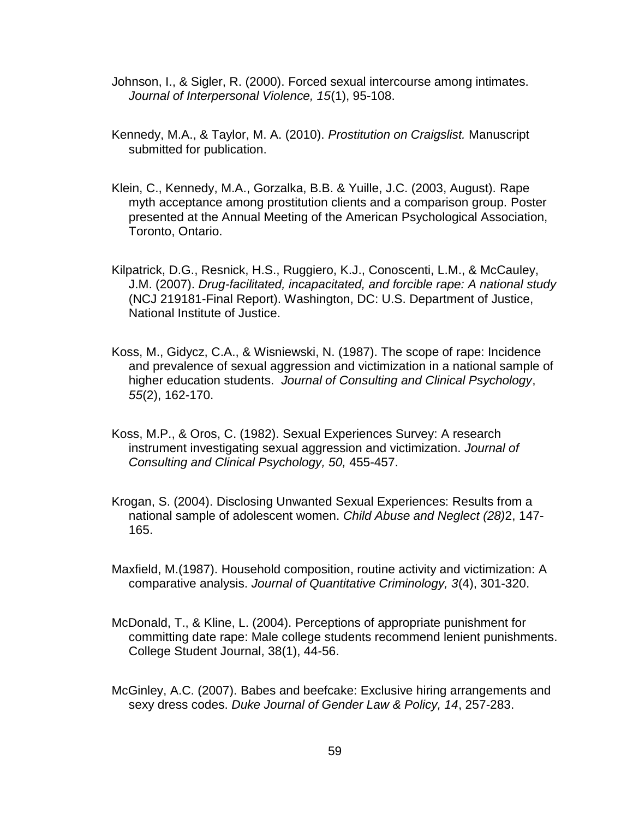- Johnson, I., & Sigler, R. (2000). Forced sexual intercourse among intimates. *Journal of Interpersonal Violence, 15*(1), 95-108.
- Kennedy, M.A., & Taylor, M. A. (2010). *Prostitution on Craigslist.* Manuscript submitted for publication.
- Klein, C., Kennedy, M.A., Gorzalka, B.B. & Yuille, J.C. (2003, August). Rape myth acceptance among prostitution clients and a comparison group. Poster presented at the Annual Meeting of the American Psychological Association, Toronto, Ontario.
- Kilpatrick, D.G., Resnick, H.S., Ruggiero, K.J., Conoscenti, L.M., & McCauley, J.M. (2007). *Drug-facilitated, incapacitated, and forcible rape: A national study*  (NCJ 219181-Final Report). Washington, DC: U.S. Department of Justice, National Institute of Justice.
- Koss, M., Gidycz, C.A., & Wisniewski, N. (1987). The scope of rape: Incidence and prevalence of sexual aggression and victimization in a national sample of higher education students. *Journal of Consulting and Clinical Psychology*, *55*(2), 162-170.
- Koss, M.P., & Oros, C. (1982). Sexual Experiences Survey: A research instrument investigating sexual aggression and victimization. *Journal of Consulting and Clinical Psychology, 50,* 455-457.
- Krogan, S. (2004). Disclosing Unwanted Sexual Experiences: Results from a national sample of adolescent women. *Child Abuse and Neglect (28)*2, 147- 165.
- Maxfield, M.(1987). Household composition, routine activity and victimization: A comparative analysis. *Journal of Quantitative Criminology, 3*(4), 301-320.
- McDonald, T., & Kline, L. (2004). Perceptions of appropriate punishment for committing date rape: Male college students recommend lenient punishments. College Student Journal, 38(1), 44-56.
- McGinley, A.C. (2007). Babes and beefcake: Exclusive hiring arrangements and sexy dress codes. *Duke Journal of Gender Law & Policy, 14*, 257-283.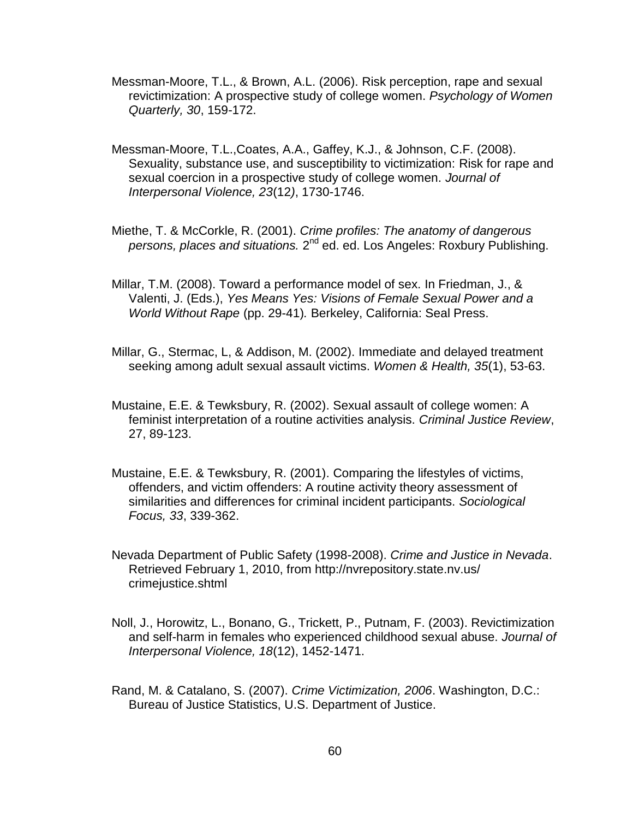- Messman-Moore, T.L., & Brown, A.L. (2006). Risk perception, rape and sexual revictimization: A prospective study of college women. *Psychology of Women Quarterly, 30*, 159-172.
- Messman-Moore, T.L.,Coates, A.A., Gaffey, K.J., & Johnson, C.F. (2008). Sexuality, substance use, and susceptibility to victimization: Risk for rape and sexual coercion in a prospective study of college women. *Journal of Interpersonal Violence, 23*(12*)*, 1730-1746.
- Miethe, T. & McCorkle, R. (2001). *Crime profiles: The anatomy of dangerous*  persons, places and situations. 2<sup>nd</sup> ed. ed. Los Angeles: Roxbury Publishing.
- Millar, T.M. (2008). Toward a performance model of sex. In Friedman, J., & Valenti, J. (Eds.), *Yes Means Yes: Visions of Female Sexual Power and a World Without Rape* (pp. 29-41)*.* Berkeley, California: Seal Press.
- Millar, G., Stermac, L, & Addison, M. (2002). Immediate and delayed treatment seeking among adult sexual assault victims. *Women & Health, 35*(1), 53-63.
- Mustaine, E.E. & Tewksbury, R. (2002). Sexual assault of college women: A feminist interpretation of a routine activities analysis. *Criminal Justice Review*, 27, 89-123.
- Mustaine, E.E. & Tewksbury, R. (2001). Comparing the lifestyles of victims, offenders, and victim offenders: A routine activity theory assessment of similarities and differences for criminal incident participants. *Sociological Focus, 33*, 339-362.
- Nevada Department of Public Safety (1998-2008). *Crime and Justice in Nevada*. Retrieved February 1, 2010, from http://nvrepository.state.nv.us/ crimejustice.shtml
- Noll, J., Horowitz, L., Bonano, G., Trickett, P., Putnam, F. (2003). Revictimization and self-harm in females who experienced childhood sexual abuse. *Journal of Interpersonal Violence, 18*(12), 1452-1471.
- Rand, M. & Catalano, S. (2007). *Crime Victimization, 2006*. Washington, D.C.: Bureau of Justice Statistics, U.S. Department of Justice.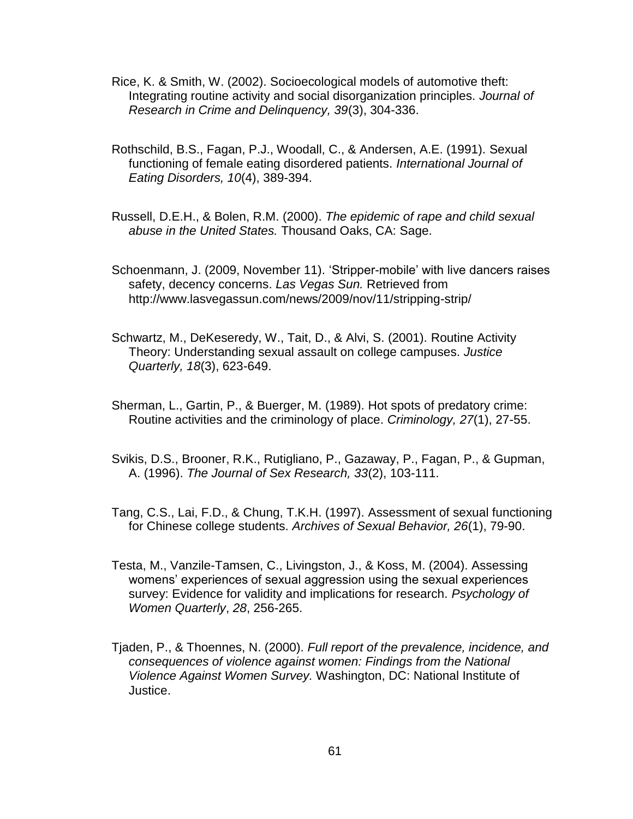- Rice, K. & Smith, W. (2002). Socioecological models of automotive theft: Integrating routine activity and social disorganization principles. *Journal of Research in Crime and Delinquency, 39*(3), 304-336.
- Rothschild, B.S., Fagan, P.J., Woodall, C., & Andersen, A.E. (1991). Sexual functioning of female eating disordered patients. *International Journal of Eating Disorders, 10*(4), 389-394.
- Russell, D.E.H., & Bolen, R.M. (2000). *The epidemic of rape and child sexual abuse in the United States.* Thousand Oaks, CA: Sage.
- Schoenmann, J. (2009, November 11). 'Stripper-mobile' with live dancers raises safety, decency concerns. *Las Vegas Sun.* Retrieved from http://www.lasvegassun.com/news/2009/nov/11/stripping-strip/
- Schwartz, M., DeKeseredy, W., Tait, D., & Alvi, S. (2001). Routine Activity Theory: Understanding sexual assault on college campuses. *Justice Quarterly, 18*(3), 623-649.
- Sherman, L., Gartin, P., & Buerger, M. (1989). Hot spots of predatory crime: Routine activities and the criminology of place. *Criminology, 27*(1), 27-55.
- Svikis, D.S., Brooner, R.K., Rutigliano, P., Gazaway, P., Fagan, P., & Gupman, A. (1996). *The Journal of Sex Research, 33*(2), 103-111.
- Tang, C.S., Lai, F.D., & Chung, T.K.H. (1997). Assessment of sexual functioning for Chinese college students. *Archives of Sexual Behavior, 26*(1), 79-90.
- Testa, M., Vanzile-Tamsen, C., Livingston, J., & Koss, M. (2004). Assessing womens" experiences of sexual aggression using the sexual experiences survey: Evidence for validity and implications for research. *Psychology of Women Quarterly*, *28*, 256-265.
- Tjaden, P., & Thoennes, N. (2000). *Full report of the prevalence, incidence, and consequences of violence against women: Findings from the National Violence Against Women Survey.* Washington, DC: National Institute of Justice.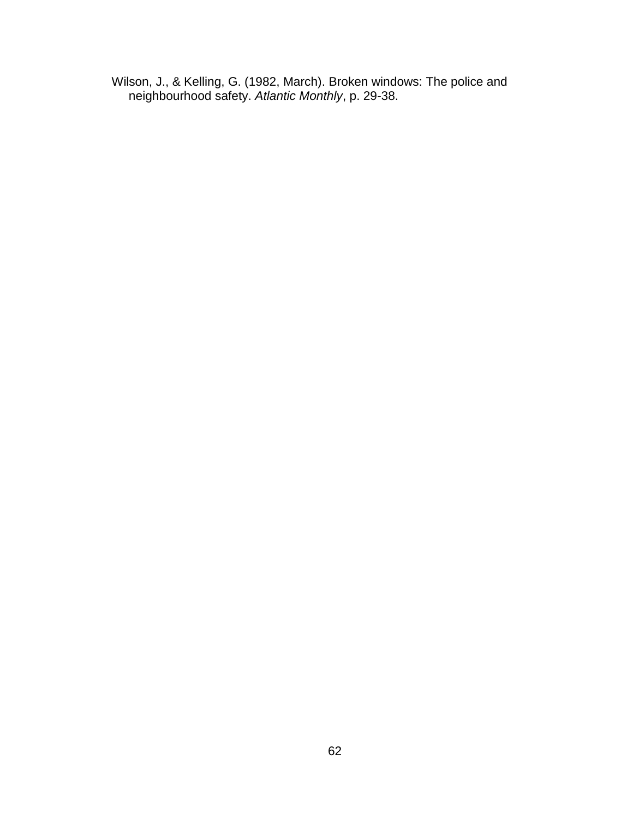Wilson, J., & Kelling, G. (1982, March). Broken windows: The police and neighbourhood safety. *Atlantic Monthly*, p. 29-38.